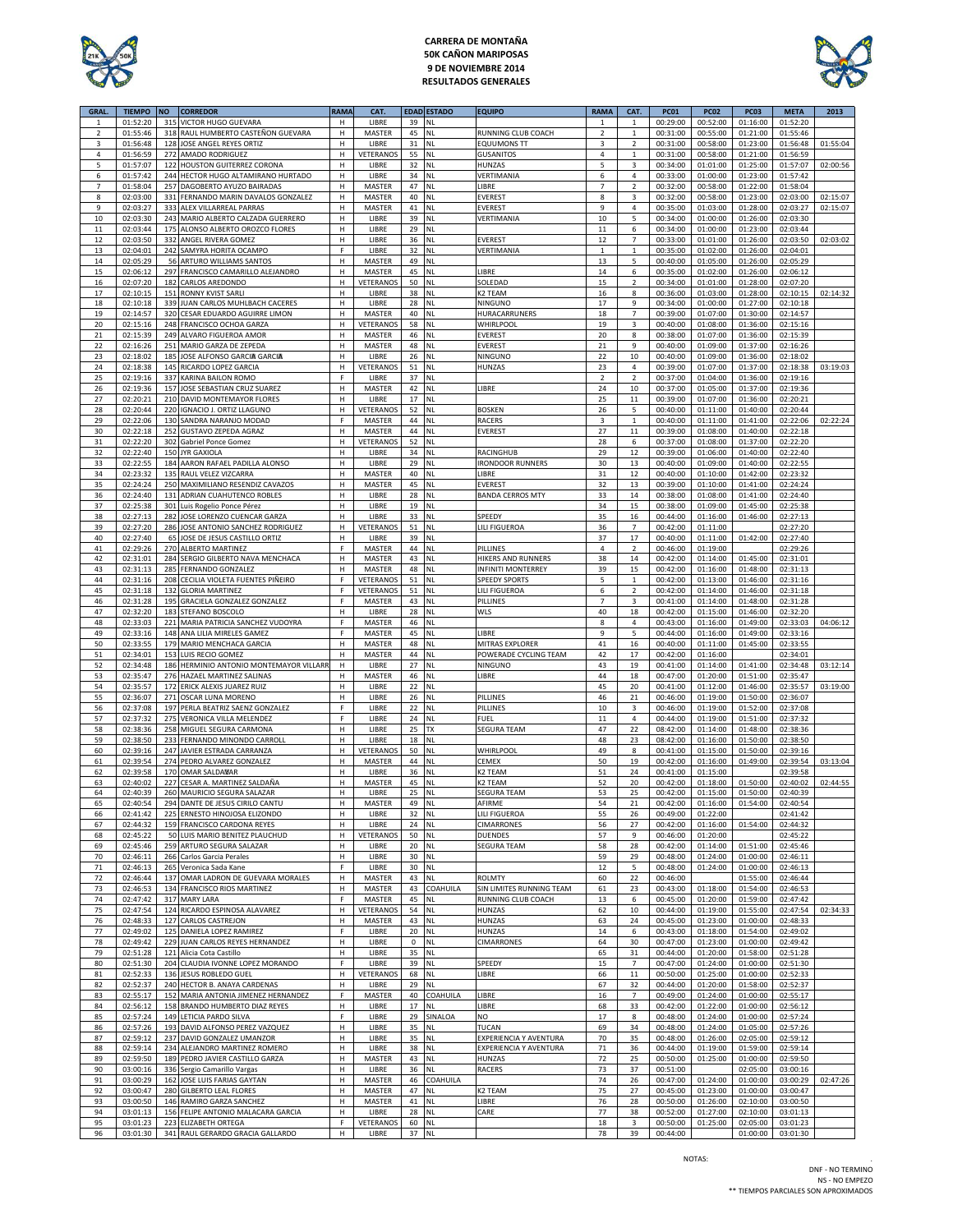

# **CARRERA DE MONTAÑA 50K CAÑON MARIPOSAS 9 DE NOVIEMBRE 2014 RESULTADOS GENERALES**



| <b>GRAL</b>  | <b>TIEMPO</b>        | <b>NO</b>  | <b>CORREDOR</b>                                               | <b>RAMA</b> | CAT.                |                      | <b>EDAD ESTADO</b>     | <b>EQUIPO</b>                               | <b>RAMA</b>                   | CAT.                    | <b>PC01</b>          | <b>PC02</b>          | PC <sub>03</sub>     | <b>META</b>          | 2013     |
|--------------|----------------------|------------|---------------------------------------------------------------|-------------|---------------------|----------------------|------------------------|---------------------------------------------|-------------------------------|-------------------------|----------------------|----------------------|----------------------|----------------------|----------|
| $\mathbf{1}$ | 01:52:20             | 315        | <b>VICTOR HUGO GUEVARA</b>                                    | н           | LIBRE               | 39                   | <b>NL</b>              |                                             | $\mathbf{1}$                  | $\mathbf{1}$            | 00:29:00             | 00:52:00             | 01:16:00             | 01:52:20             |          |
| $\mathbf 2$  | 01:55:46             | 318        | RAUL HUMBERTO CASTEÑON GUEVARA                                | н           | MASTER              | 45                   | <b>NL</b>              | RUNNING CLUB COACH                          | $\overline{2}$                | $\mathbf 1$             | 00:31:00             | 00:55:00             | 01:21:00             | 01:55:46             |          |
| 3            | 01:56:48             | 128        | JOSE ANGEL REYES ORTIZ                                        | H           | LIBRE               | 31                   | <b>NL</b>              | <b>EQUUMONS TT</b>                          | 3                             | $\overline{2}$          | 00:31:00             | 00:58:00             | 01:23:00             | 01:56:48             | 01:55:04 |
| 4            | 01:56:59             | 272        | <b>AMADO RODRIGUEZ</b>                                        | н           | VETERANOS           | 55                   | <b>NL</b>              | <b>GUSANITOS</b>                            | 4                             | $\mathbf{1}$            | 00:31:00             | 00:58:00             | 01:21:00             | 01:56:59             |          |
| 5            | 01:57:07             | 122        | HOUSTON GUITERREZ CORONA                                      | н           | LIBRE               | 32                   | <b>NL</b>              | HUNZAS                                      | 5                             | 3                       | 00:34:00             | 01:01:00             | 01:25:00             | 01:57:07             | 02:00:56 |
| 6            | 01:57:42             | 244        | HECTOR HUGO ALTAMIRANO HURTADO                                | н           | LIBRE               | 34                   | <b>NL</b>              | VERTIMANIA                                  | 6                             | 4                       | 00:33:00             | 01:00:00             | 01:23:00             | 01:57:42             |          |
| 7            | 01:58:04             | 257        | DAGOBERTO AYUZO BAIRADAS                                      | н           | MASTER              | 47                   | <b>NL</b>              | LIBRE                                       | $\overline{7}$                | $\overline{2}$          | 00:32:00             | 00:58:00             | 01:22:00             | 01:58:04             |          |
| 8            | 02:03:00             | 331        | FERNANDO MARIN DAVALOS GONZALEZ                               | н           | MASTER              | 40                   | <b>NL</b>              | <b>EVEREST</b>                              | 8                             | 3                       | 00:32:00             | 00:58:00             | 01:23:00             | 02:03:00             | 02:15:07 |
| 9<br>10      | 02:03:27<br>02:03:30 | 333<br>243 | ALEX VILLARREAL PARRAS<br>MARIO ALBERTO CALZADA GUERRERO      | н<br>н      | MASTER<br>LIBRE     | 41<br>39             | <b>NL</b><br><b>NL</b> | <b>EVEREST</b><br>VERTIMANIA                | 9<br>10                       | $\overline{4}$<br>5     | 00:35:00<br>00:34:00 | 01:03:00<br>01:00:00 | 01:28:00<br>01:26:00 | 02:03:27<br>02:03:30 | 02:15:07 |
| $11\,$       | 02:03:44             | 175        | ALONSO ALBERTO OROZCO FLORES                                  | н           | LIBRE               | 29                   | <b>NL</b>              |                                             | 11                            | 6                       | 00:34:00             | 01:00:00             | 01:23:00             | 02:03:44             |          |
| 12           | 02:03:50             | 332        | ANGEL RIVERA GOMEZ                                            | н           | LIBRE               | 36                   | <b>NL</b>              | <b>EVEREST</b>                              | 12                            | $\overline{7}$          | 00:33:00             | 01:01:00             | 01:26:00             | 02:03:50             | 02:03:02 |
| 13           | 02:04:01             | 242        | SAMYRA HORITA OCAMPO                                          | F           | LIBRE               | 32                   | <b>NL</b>              | VERTIMANIA                                  | $1\,$                         | $1\,$                   | 00:35:00             | 01:02:00             | 01:26:00             | 02:04:01             |          |
| $14\,$       | 02:05:29             | 56         | ARTURO WILLIAMS SANTOS                                        | н           | MASTER              | 49                   | <b>NL</b>              |                                             | 13                            | 5                       | 00:40:00             | 01:05:00             | 01:26:00             | 02:05:29             |          |
| 15           | 02:06:12             | 297        | FRANCISCO CAMARILLO ALEJANDRO                                 | н           | MASTER              | 45                   | <b>NL</b>              | LIBRE                                       | 14                            | 6                       | 00:35:00             | 01:02:00             | 01:26:00             | 02:06:12             |          |
| 16           | 02:07:20             | 182        | CARLOS AREDONDO                                               | н           | VETERANOS           | 50                   | <b>NL</b>              | SOLEDAD                                     | 15                            | $\overline{2}$          | 00:34:00             | 01:01:00             | 01:28:00             | 02:07:20             |          |
| 17           | 02:10:15             | 151        | <b>RONNY KVIST SARLI</b>                                      | н           | LIBRE               | 38                   | <b>NL</b>              | K2 TEAM                                     | 16                            | 8                       | 00:36:00             | 01:03:00             | 01:28:00             | 02:10:15             | 02:14:32 |
| 18           | 02:10:18             |            | 339 JUAN CARLOS MUHLBACH CACERES                              | н           | LIBRE               | 28                   | <b>NL</b>              | <b>NINGUNO</b>                              | 17                            | 9                       | 00:34:00             | 01:00:00             | 01:27:00             | 02:10:18             |          |
| 19           | 02:14:57             | 320        | CESAR EDUARDO AGUIRRE LIMON                                   | н           | <b>MASTER</b>       | 40                   | <b>NL</b>              | HURACARRUNERS                               | 18                            | $\overline{7}$          | 00:39:00             | 01:07:00             | 01:30:00             | 02:14:57             |          |
| 20<br>21     | 02:15:16<br>02:15:39 | 248<br>249 | FRANCISCO OCHOA GARZA<br>ALVARO FIGUEROA AMOR                 | н<br>н      | VETERANOS<br>MASTER | 58<br>46             | <b>NL</b><br><b>NL</b> | <b>WHIRLPOO</b><br><b>EVEREST</b>           | 19<br>20                      | $\overline{3}$<br>8     | 00:40:00<br>00:38:00 | 01:08:00<br>01:07:00 | 01:36:00<br>01:36:00 | 02:15:16<br>02:15:39 |          |
| 22           | 02:16:26             | 251        | MARIO GARZA DE ZEPEDA                                         | н           | MASTER              | 48                   | <b>NL</b>              | <b>EVEREST</b>                              | 21                            | 9                       | 00:40:00             | 01:09:00             | 01:37:00             | 02:16:26             |          |
| 23           | 02:18:02             | 185        | JOSE ALFONSO GARCIA GARCIA                                    | н           | LIBRE               | 26                   | <b>NL</b>              | NINGUNO                                     | 22                            | 10                      | 00:40:00             | 01:09:00             | 01:36:00             | 02:18:02             |          |
| 24           | 02:18:38             | 145        | RICARDO LOPEZ GARCIA                                          | н           | VETERANOS           | 51                   | <b>NL</b>              | HUNZAS                                      | 23                            | 4                       | 00:39:00             | 01:07:00             | 01:37:00             | 02:18:38             | 03:19:03 |
| 25           | 02:19:16             | 337        | KARINA BAILON ROMO                                            | F           | LIBRE               | 37                   | <b>NL</b>              |                                             | $\overline{2}$                | $\overline{2}$          | 00:37:00             | 01:04:00             | 01:36:00             | 02:19:16             |          |
| 26           | 02:19:36             | 157        | JOSE SEBASTIAN CRUZ SUAREZ                                    | н           | <b>MASTER</b>       | 42                   | <b>NL</b>              | LIBRE                                       | 24                            | 10                      | 00:37:00             | 01:05:00             | 01:37:00             | 02:19:36             |          |
| 27           | 02:20:21             | 210        | DAVID MONTEMAYOR FLORES                                       | н           | LIBRE               | 17                   | <b>NL</b>              |                                             | 25                            | 11                      | 00:39:00             | 01:07:00             | 01:36:00             | 02:20:21             |          |
| 28           | 02:20:44             | 220        | IGNACIO J. ORTIZ LLAGUNO                                      | H           | VETERANOS           | 52                   | <b>NL</b>              | <b>BOSKEN</b>                               | 26                            | 5                       | 00:40:00             | 01:11:00             | 01:40:00             | 02:20:44             |          |
| 29           | 02:22:06             | 130        | SANDRA NARANJO MODAD                                          | F           | MASTER              | 44                   | <b>NL</b>              | <b>RACERS</b>                               | 3                             | $\mathbf{1}$            | 00:40:00             | 01:11:00             | 01:41:00             | 02:22:06             | 02:22:24 |
| 30           | 02:22:18             | 252        | <b>GUSTAVO ZEPEDA AGRAZ</b>                                   | н           | MASTER              | 44                   | <b>NL</b>              | EVEREST                                     | 27                            | 11                      | 00:39:00             | 01:08:00             | 01:40:00             | 02:22:18             |          |
| 31           | 02:22:20             | 302        | Gabriel Ponce Gomez                                           | н           | VETERANOS           | 52                   | <b>NL</b>              |                                             | 28                            | 6                       | 00:37:00             | 01:08:00             | 01:37:00             | 02:22:20             |          |
| 32<br>33     | 02:22:40<br>02:22:55 | 184        | 150 JYR GAXIOLA<br>AARON RAFAEL PADILLA ALONSO                | н<br>н      | LIBRE<br>LIBRE      | 34<br>29             | <b>NL</b><br><b>NL</b> | <b>RACINGHUB</b><br><b>IRONDOOR RUNNERS</b> | 29<br>30                      | 12<br>13                | 00:39:00<br>00:40:00 | 01:06:00<br>01:09:00 | 01:40:00<br>01:40:00 | 02:22:40<br>02:22:55 |          |
| 34           | 02:23:32             | 135        | RAUL VELEZ VIZCARRA                                           | н           | MASTER              | 40                   | <b>NL</b>              | LIBRE                                       | 31                            | 12                      | 00:40:00             | 01:10:00             | 01:42:00             | 02:23:32             |          |
| 35           | 02:24:24             | 250        | MAXIMILIANO RESENDIZ CAVAZOS                                  | н           | MASTER              | 45                   | <b>NL</b>              | <b>EVEREST</b>                              | 32                            | 13                      | 00:39:00             | 01:10:00             | 01:41:00             | 02:24:24             |          |
| 36           | 02:24:40             | 131        | ADRIAN CUAHUTENCO ROBLES                                      | н           | LIBRE               | 28                   | <b>NL</b>              | <b>BANDA CERROS MTY</b>                     | 33                            | 14                      | 00:38:00             | 01:08:00             | 01:41:00             | 02:24:40             |          |
| 37           | 02:25:38             | 301        | Luis Rogelio Ponce Pérez                                      | н           | LIBRE               | 19                   | <b>NL</b>              |                                             | 34                            | 15                      | 00:38:00             | 01:09:00             | 01:45:00             | 02:25:38             |          |
| 38           | 02:27:13             | 282        | JOSE LORENZO CUENCAR GARZA                                    | н           | LIBRE               | 33                   | <b>NL</b>              | SPEEDY                                      | 35                            | 16                      | 00:44:00             | 01:16:00             | 01:46:00             | 02:27:13             |          |
| 39           | 02:27:20             | 286        | JOSE ANTONIO SANCHEZ RODRIGUEZ                                | н           | VETERANOS           | 51                   | <b>NL</b>              | LILI FIGUEROA                               | 36                            | $\overline{7}$          | 00:42:00             | 01:11:00             |                      | 02:27:20             |          |
| 40           | 02:27:40             | 65         | JOSE DE JESUS CASTILLO ORTIZ                                  | н           | LIBRE               | 39                   | NI.                    |                                             | 37                            | 17                      | 00:40:00             | 01:11:00             | 01:42:00             | 02:27:40             |          |
| $41\,$       | 02:29:26             | 270        | <b>ALBERTO MARTINEZ</b>                                       | F           | MASTER              | 44                   | <b>NL</b>              | PILLINES                                    | $\overline{4}$                | $\overline{2}$          | 00:46:00             | 01:19:00             |                      | 02:29:26             |          |
| 42           | 02:31:01             | 284        | SERGIO GILBERTO NAVA MENCHACA                                 | н           | <b>MASTER</b>       | 43                   | <b>NL</b>              | <b>HIKERS AND RUNNERS</b>                   | 38                            | 14                      | 00:42:00             | 01:14:00             | 01:45:00             | 02:31:01             |          |
| 43           | 02:31:13             | 285        | FERNANDO GONZALEZ                                             | н           | MASTER              | 48                   | <b>NL</b>              | <b>INFINITI MONTERREY</b>                   | 39                            | 15                      | 00:42:00             | 01:16:00             | 01:48:00             | 02:31:13             |          |
| 44<br>45     | 02:31:16             | 208<br>132 | CECILIA VIOLETA FUENTES PIÑEIRO                               | F<br>F      | VETERANOS           | 51<br>51             | <b>NL</b><br><b>NL</b> | <b>SPEEDY SPORTS</b><br>LILI FIGUEROA       | 5                             | $1\,$<br>$\overline{2}$ | 00:42:00             | 01:13:00             | 01:46:00             | 02:31:16             |          |
| 46           | 02:31:18<br>02:31:28 | 195        | <b>GLORIA MARTINEZ</b><br>GRACIELA GONZALEZ GONZALEZ          | F.          | VETERANOS<br>MASTER | 43                   | <b>NL</b>              | PILLINES                                    | 6<br>$\overline{\phantom{a}}$ | 3                       | 00:42:00<br>00:41:00 | 01:14:00<br>01:14:00 | 01:46:00<br>01:48:00 | 02:31:18<br>02:31:28 |          |
| 47           | 02:32:20             | 183        | STEFANO BOSCOLO                                               | н           | LIBRE               | 28                   | <b>NL</b>              | WLS                                         | 40                            | 18                      | 00:42:00             | 01:15:00             | 01:46:00             | 02:32:20             |          |
| 48           | 02:33:03             | 221        | MARIA PATRICIA SANCHEZ VUDOYRA                                | F.          | MASTER              | 46                   | <b>NL</b>              |                                             | $\bf8$                        | $\overline{4}$          | 00:43:00             | 01:16:00             | 01:49:00             | 02:33:03             | 04:06:12 |
| 49           | 02:33:16             | 148        | ANA LILIA MIRELES GAMEZ                                       | F           | <b>MASTER</b>       | 45                   | <b>NL</b>              | LIBRE                                       | 9                             | 5                       | 00:44:00             | 01:16:00             | 01:49:00             | 02:33:16             |          |
| 50           | 02:33:55             | 179        | MARIO MENCHACA GARCIA                                         | н           | MASTER              | 48                   | <b>NL</b>              | MITRAS EXPLORER                             | 41                            | 16                      | 00:40:00             | 01:11:00             | 01:45:00             | 02:33:55             |          |
| 51           | 02:34:01             | 153        | LUIS RECIO GOMEZ                                              | н           | MASTER              | 44                   | <b>NL</b>              | POWERADE CYCLING TEAM                       | 42                            | 17                      | 00:42:00             | 01:16:00             |                      | 02:34:01             |          |
| 52           | 02:34:48             | 186        | HERMINIO ANTONIO MONTEMAYOR VILLARF                           | н           | LIBRE               | 27                   | <b>NL</b>              | NINGUNO                                     | 43                            | 19                      | 00:41:00             | 01:14:00             | 01:41:00             | 02:34:48             | 03:12:14 |
| 53           | 02:35:47             | 276        | HAZAEL MARTINEZ SALINAS                                       | н           | MASTER              | 46                   | <b>NL</b>              | LIBRE                                       | 44                            | 18                      | 00:47:00             | 01:20:00             | 01:51:00             | 02:35:47             |          |
| 54           | 02:35:57             | 172        | ERICK ALEXIS JUAREZ RUIZ                                      | н           | LIBRE               | 22                   | <b>NL</b>              |                                             | 45                            | 20                      | 00:41:00             | 01:12:00             | 01:46:00             | 02:35:57             | 03:19:00 |
| 55           | 02:36:07             | 271        | OSCAR LUNA MORENO                                             | н           | LIBRE               | 26                   | <b>NL</b>              | PILLINES                                    | 46                            | 21                      | 00:46:00             | 01:19:00             | 01:50:00             | 02:36:07             |          |
| 56<br>57     | 02:37:08<br>02:37:32 | 197<br>275 | PERLA BEATRIZ SAENZ GONZALEZ<br>VERONICA VILLA MELENDEZ       | F<br>F.     | LIBRE<br>LIBRE      | 22<br>24             | <b>NL</b><br><b>NL</b> | PILLINES<br>FUEL                            | 10<br>11                      | 3<br>4                  | 00:46:00             | 01:19:00<br>01:19:00 | 01:52:00<br>01:51:00 | 02:37:08<br>02:37:32 |          |
| 58           | 02:38:36             | 258        | MIGUEL SEGURA CARMONA                                         | н           | LIBRE               | 25                   | TX                     | <b>SEGURA TEAM</b>                          | 47                            | 22                      | 00:44:00<br>08:42:00 | 01:14:00             | 01:48:00             | 02:38:36             |          |
| 59           | 02:38:50             | 233        | FERNANDO MINONDO CARROLI                                      | н           | LIBRE               | 18                   | <b>NL</b>              |                                             | 48                            | 23                      | 08:42:00             | 01:16:00             | 01:50:00             | 02:38:50             |          |
| 60           | 02:39:16             | 247        | JAVIER ESTRADA CARRANZA                                       | н           | VETERANOS           | 50                   | <b>NL</b>              | WHIRLPOOL                                   | 49                            | 8                       | 00:41:00             | 01:15:00             | 01:50:00             | 02:39:16             |          |
| 61           | 02:39:54             | 274        | PEDRO ALVAREZ GONZALEZ                                        | н           | MASTER              | 44                   | <b>NL</b>              | CEMEX                                       | 50                            | 19                      | 00:42:00             | 01:16:00             | 01:49:00             | 02:39:54             | 03:13:04 |
| 62           | 02:39:58             | 170        | OMAR SALDAVAR                                                 | н           | LIBRE               | 36                   | <b>NL</b>              | K2 TEAM                                     | 51                            | 24                      | 00:41:00             | 01:15:00             |                      | 02:39:58             |          |
| 63           | 02:40:02             | 227        | CESAR A. MARTINEZ SALDAÑA                                     | н           | MASTER              | 45                   | <b>NL</b>              | K2 TEAM                                     | 52                            | 20                      | 00:42:00             | 01:18:00             | 01:50:00             | 02:40:02             | 02:44:55 |
| 64           | 02:40:39             |            | 260 MAURICIO SEGURA SALAZAR                                   | н           | LIBRE               | 25                   | <b>NL</b>              | <b>SEGURA TEAM</b>                          | 53                            | 25                      | 00:42:00             | 01:15:00             | 01:50:00             | 02:40:39             |          |
| 65           | 02:40:54             |            | 294 DANTE DE JESUS CIRILO CANTU                               | н           | MASTER              | 49 NL                |                        | AFIRME                                      | 54                            | 21                      | 00:42:00             |                      | 01:16:00  01:54:00   | 02:40:54             |          |
| 66           | 02:41:42<br>02:44:32 |            | 225 ERNESTO HINOJOSA ELIZONDO                                 | н           | LIBRE               | 32                   | <b>NL</b>              | LILI FIGUEROA                               | 55                            | 26                      | 00:49:00             | 01:22:00             |                      | 02:41:42             |          |
| 67<br>68     | 02:45:22             |            | 159 FRANCISCO CARDONA REYES<br>50 LUIS MARIO BENITEZ PLAUCHUD | н<br>H      | LIBRE<br>VETERANOS  | 24 NL<br>50          | <b>NL</b>              | <b>CIMARRONES</b><br><b>DUENDES</b>         | 56<br>57                      | 27<br>9                 | 00:42:00<br>00:46:00 | 01:16:00<br>01:20:00 | 01:54:00             | 02:44:32<br>02:45:22 |          |
| 69           | 02:45:46             | 259        | ARTURO SEGURA SALAZAR                                         | н           | LIBRE               | 20                   | <b>NL</b>              | <b>SEGURA TEAM</b>                          | 58                            | 28                      | 00:42:00             | 01:14:00             | 01:51:00             | 02:45:46             |          |
| 70           | 02:46:11             | 266        | Carlos Garcia Perales                                         | н           | LIBRE               | 30                   | <b>NL</b>              |                                             | 59                            | 29                      | 00:48:00             | 01:24:00             | 01:00:00             | 02:46:11             |          |
| 71           | 02:46:13             |            | 265 Veronica Sada Kane                                        | F.          | LIBRE               | 30                   | NL                     |                                             | 12                            | 5                       | 00:48:00             | 01:24:00             | 01:00:00             | 02:46:13             |          |
| 72           | 02:46:44             | 137        | OMAR LADRON DE GUEVARA MORALES                                | н           | MASTER              | 43                   | <b>NL</b>              | <b>ROLMTY</b>                               | 60                            | 22                      | 00:46:00             |                      | 01:55:00             | 02:46:44             |          |
| 73           | 02:46:53             |            | 134 FRANCISCO RIOS MARTINEZ                                   | н           | MASTER              | 43                   | COAHUILA               | SIN LIMITES RUNNING TEAM                    | 61                            | 23                      | 00:43:00             | 01:18:00             | 01:54:00             | 02:46:53             |          |
| 74           | 02:47:42             |            | 317 MARY LARA                                                 | F           | <b>MASTER</b>       | 45                   | NL                     | <b>RUNNING CLUB COACH</b>                   | 13                            | 6                       | 00:45:00             | 01:20:00             | 01:59:00             | 02:47:42             |          |
| 75           | 02:47:54             |            | 124 RICARDO ESPINOSA ALAVAREZ                                 | H           | VETERANOS           | 54                   | <b>NL</b>              | <b>HUNZAS</b>                               | 62                            | 10                      | 00:44:00             | 01:19:00             | 01:55:00             | 02:47:54             | 02:34:33 |
| 76           | 02:48:33             | 127        | <b>CARLOS CASTREJON</b>                                       | н           | MASTER              | 43                   | NL                     | <b>HUNZAS</b>                               | 63                            | 24                      | 00:45:00             | 01:23:00             | 01:00:00             | 02:48:33             |          |
| 77           | 02:49:02             | 125        | DANIELA LOPEZ RAMIREZ                                         | F           | LIBRE               | 20                   | <b>NL</b>              | HUNZAS                                      | 14                            | 6                       | 00:43:00             | 01:18:00             | 01:54:00             | 02:49:02             |          |
| 78<br>79     | 02:49:42<br>02:51:28 | 121        | 229 JUAN CARLOS REYES HERNANDEZ<br>Alicia Cota Castillo       | н<br>н      | LIBRE<br>LIBRE      | $\overline{0}$<br>35 | <b>NL</b><br><b>NL</b> | CIMARRONES                                  | 64<br>65                      | 30<br>31                | 00:47:00<br>00:44:00 | 01:23:00<br>01:20:00 | 01:00:00<br>01:58:00 | 02:49:42<br>02:51:28 |          |
| 80           | 02:51:30             |            | 204 CLAUDIA IVONNE LOPEZ MORANDO                              | F           | LIBRE               | 39                   | <b>NL</b>              | SPEEDY                                      | 15                            | $\overline{7}$          | 00:47:00             | 01:24:00             | 01:00:00             | 02:51:30             |          |
| 81           | 02:52:33             | 136        | JESUS ROBLEDO GUEL                                            | н           | VETERANOS           | 68                   | NL                     | LIBRE                                       | 66                            | 11                      | 00:50:00             | 01:25:00             | 01:00:00             | 02:52:33             |          |
| 82           | 02:52:37             |            | 240 HECTOR B. ANAYA CARDENAS                                  | н           | LIBRE               | 29                   | <b>NL</b>              |                                             | 67                            | 32                      | 00:44:00             | 01:20:00             | 01:58:00             | 02:52:37             |          |
| 83           | 02:55:17             |            | 152 MARIA ANTONIA JIMENEZ HERNANDEZ                           | F           | MASTER              | 40                   | COAHUILA               | LIBRE                                       | 16                            | $\overline{7}$          | 00:49:00             | 01:24:00             | 01:00:00             | 02:55:17             |          |
| 84           | 02:56:12             | 158        | BRANDO HUMBERTO DIAZ REYES                                    | н           | LIBRE               | 17                   | <b>NL</b>              | LIBRE                                       | 68                            | 33                      | 00:42:00             | 01:22:00             | 01:00:00             | 02:56:12             |          |
| 85           | 02:57:24             |            | 149 LETICIA PARDO SILVA                                       | F           | LIBRE               | 29                   | SINALOA                | <b>NO</b>                                   | 17                            | 8                       | 00:48:00             | 01:24:00             | 01:00:00             | 02:57:24             |          |
| 86           | 02:57:26             |            | 193 DAVID ALFONSO PEREZ VAZQUEZ                               | н           | LIBRE               | 35                   | <b>NL</b>              | TUCAN                                       | 69                            | 34                      | 00:48:00             | 01:24:00             | 01:05:00             | 02:57:26             |          |
| 87           | 02:59:12             |            | 237 DAVID GONZALEZ UMANZOR                                    | н           | LIBRE               | 35                   | ΝL                     | EXPERIENCIA Y AVENTURA                      | 70                            | 35                      | 00:48:00             | 01:26:00             | 02:05:00             | 02:59:12             |          |
| 88           | 02:59:14             | 234        | ALEJANDRO MARTINEZ ROMERO                                     | н           | LIBRE               | 38                   | NL                     | EXPERIENCIA Y AVENTURA                      | 71                            | 36                      | 00:44:00             | 01:19:00             | 01:59:00             | 02:59:14             |          |
| 89           | 02:59:50             |            | 189 PEDRO JAVIER CASTILLO GARZA                               | н<br>н      | MASTER              | 43<br>36             | NL<br><b>NL</b>        | HUNZAS<br><b>RACERS</b>                     | 72                            | 25                      | 00:50:00             | 01:25:00             | 01:00:00<br>02:05:00 | 02:59:50             |          |
| 90<br>91     | 03:00:16<br>03:00:29 |            | 336 Sergio Camarillo Vargas<br>162 JOSE LUIS FARIAS GAYTAN    | н           | LIBRE<br>MASTER     | 46                   | COAHUILA               |                                             | 73<br>74                      | 37<br>26                | 00:51:00<br>00:47:00 | 01:24:00             | 01:00:00             | 03:00:16<br>03:00:29 | 02:47:26 |
| 92           | 03:00:47             | 280        | <b>GILBERTO LEAL FLORES</b>                                   | н           | <b>MASTER</b>       | 47                   | <b>NL</b>              | K2 TEAM                                     | 75                            | 27                      | 00:45:00             | 01:23:00             | 01:00:00             | 03:00:47             |          |
| 93           | 03:00:50             |            | 146 RAMIRO GARZA SANCHEZ                                      | н           | MASTER              | 41                   | <b>NL</b>              | LIBRE                                       | 76                            | 28                      | 00:50:00             | 01:26:00             | 02:10:00             | 03:00:50             |          |
| 94           | 03:01:13             | 156        | FELIPE ANTONIO MALACARA GARCIA                                | н           | LIBRE               | 28                   | <b>NL</b>              | CARE                                        | 77                            | 38                      | 00:52:00             | 01:27:00             | 02:10:00             | 03:01:13             |          |
| 95           | 03:01:23             | 223        | ELIZABETH ORTEGA                                              | F           | VETERANOS           | 60 NL                |                        |                                             | 18                            | 3                       | 00:50:00             | 01:25:00             | 02:05:00             | 03:01:23             |          |
| 96           | 03:01:30             |            | 341 RAUL GERARDO GRACIA GALLARDO                              | н           | LIBRE               | 37 NL                |                        |                                             | 78                            | 39                      | 00:44:00             |                      | 01:00:00             | 03:01:30             |          |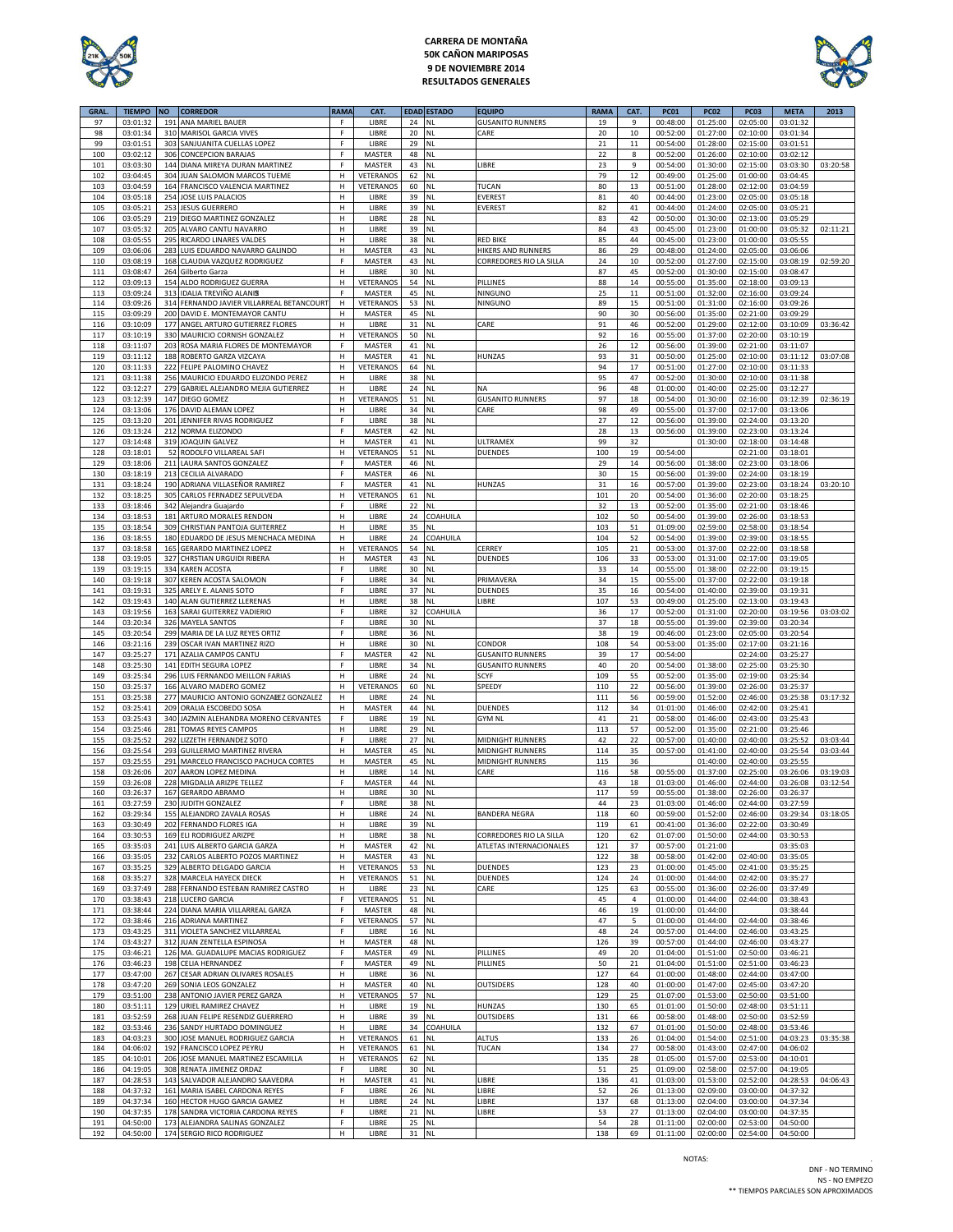

# **CARRERA DE MONTAÑA 50K CAÑON MARIPOSAS 9 DE NOVIEMBRE 2014 RESULTADOS GENERALES**



| GRAL.      | <b>TIEMPO</b>        | <b>NO</b>  | <b>CORREDOR</b>                                     | RAMA         | CAT.                |          | <b>EDAD ESTADO</b>     | <b>EQUIPO</b>           | <b>RAMA</b> | CAT.     | <b>PC01</b>          | <b>PC02</b>                  | <b>PC03</b>          | <b>META</b>          | 2013     |
|------------|----------------------|------------|-----------------------------------------------------|--------------|---------------------|----------|------------------------|-------------------------|-------------|----------|----------------------|------------------------------|----------------------|----------------------|----------|
| 97         | 03:01:32             |            | 191 ANA MARIEL BAUER                                | F            | LIBRE               | 24       | <b>NL</b>              | <b>GUSANITO RUNNERS</b> | 19          | 9        | 00:48:00             | 01:25:00                     | 02:05:00             | 03:01:32             |          |
| 98         | 03:01:34             |            | 310 MARISOL GARCIA VIVES                            | F            | LIBRE               | 20       | <b>NL</b>              | CARE                    | 20          | 10       | 00:52:00             | 01:27:00                     | 02:10:00             | 03:01:34             |          |
| 99         | 03:01:51             | 303        | SANJUANITA CUELLAS LOPEZ                            | F            | LIBRE               | 29       | <b>NL</b>              |                         | 21          | 11       | 00:54:00             | 01:28:00                     | 02:15:00             | 03:01:51             |          |
| 100        | 03:02:12             |            | 306 CONCEPCION BARAJAS                              | F.           | <b>MASTER</b>       | 48       | <b>NL</b>              |                         | 22          | 8        | 00:52:00             | 01:26:00                     | 02:10:00             | 03:02:12             |          |
| 101        | 03:03:30             |            | 144 DIANA MIREYA DURAN MARTINEZ                     | F            | MASTER              | 43       | <b>NL</b>              | LIBRE                   | 23          | 9        | 00:54:00             | 01:30:00                     | 02:15:00             | 03:03:30             | 03:20:58 |
| 102        | 03:04:45             | 304        | JUAN SALOMON MARCOS TUEME                           | н            | <b>VETERANOS</b>    | 62       | NL                     |                         | 79          | 12       | 00:49:00             | 01:25:00                     | 01:00:00             | 03:04:45             |          |
| 103        | 03:04:59             |            | 164 FRANCISCO VALENCIA MARTINEZ                     | н            | VETERANOS           | 60       | <b>NL</b>              | TUCAN                   | 80          | 13       | 00:51:00             | 01:28:00                     | 02:12:00             | 03:04:59             |          |
| 104        | 03:05:18             |            | 254 JOSE LUIS PALACIOS                              | н            | LIBRE               | 39       | <b>NL</b>              | EVEREST                 | 81          | 40       | 00:44:00             | 01:23:00                     | 02:05:00             | 03:05:18             |          |
| 105        | 03:05:21             |            | 253 JESUS GUERRERO                                  | н            | LIBRE               | 39       | <b>NL</b>              | <b>EVEREST</b>          | 82          | 41       | 00:44:00             | 01:24:00                     | 02:05:00             | 03:05:21             |          |
| 106        | 03:05:29             |            | 219 DIEGO MARTINEZ GONZALEZ                         | H            | LIBRE               | 28       | <b>NL</b>              |                         | 83          | 42       | 00:50:00             | 01:30:00                     | 02:13:00             | 03:05:29             |          |
| 107        | 03:05:32             |            | 205 ALVARO CANTU NAVARRO                            | н            | LIBRE               | 39       | <b>NL</b>              |                         | 84          | 43       | 00:45:00             | 01:23:00                     | 01:00:00             | 03:05:32             | 02:11:21 |
| 108        | 03:05:55             | 295        | RICARDO LINARES VALDES                              | н            | LIBRE               | 38       | <b>NL</b>              | <b>RED BIKE</b>         | 85          | 44       | 00:45:00             | 01:23:00                     | 01:00:00             | 03:05:55             |          |
| 109        | 03:06:06             | 283        | LUIS EDUARDO NAVARRO GALINDO                        | H            | MASTER              | 43       | NL                     | HIKERS AND RUNNERS      | 86          | 29       | 00:48:00             | 01:24:00                     | 02:05:00             | 03:06:06             |          |
| 110        | 03:08:19             | 168        | CLAUDIA VAZQUEZ RODRIGUEZ                           | F            | MASTER              | 43       | <b>NL</b>              | CORREDORES RIO LA SILLA | 24          | 10       | 00:52:00             | 01:27:00                     | 02:15:00             | 03:08:19             | 02:59:20 |
| 111        | 03:08:47             |            | 264 Gilberto Garza                                  | н            | LIBRE               | 30       | <b>NL</b>              |                         | 87          | 45       | 00:52:00             | 01:30:00                     | 02:15:00             | 03:08:47             |          |
| 112        | 03:09:13             | 154        | ALDO RODRIGUEZ GUERRA                               | н            | <b>VETERANOS</b>    | 54       | <b>NL</b>              | PILLINES                | 88          | 14       | 00:55:00             | 01:35:00                     | 02:18:00             | 03:09:13             |          |
| 113        | 03:09:24             |            | 313 IDALIA TREVIÑO ALANIS                           | F            | MASTER              | 45       | NL                     | NINGUNO                 | 25          | 11       | 00:51:00             | 01:32:00                     | 02:16:00             | 03:09:24             |          |
| 114        | 03:09:26             |            | 314 FERNANDO JAVIER VILLARREAL BETANCOURT           | н            | VETERANOS           | 53       | <b>NL</b>              | NINGUNO                 | 89          | 15       | 00:51:00             | 01:31:00                     | 02:16:00             | 03:09:26             |          |
| 115        | 03:09:29             |            | 200 DAVID E. MONTEMAYOR CANTU                       | н            | MASTER              | 45       | <b>NL</b>              |                         | 90          | 30       | 00:56:00             | 01:35:00                     | 02:21:00             | 03:09:29             |          |
| 116        | 03:10:09             | 177        | ANGEL ARTURO GUTIERREZ FLORES                       | н            | LIBRE               | 31       | <b>NL</b>              | CARE                    | 91          | 46       | 00:52:00             | 01:29:00                     | 02:12:00             | 03:10:09             | 03:36:42 |
| 117        | 03:10:19             | 33C        | MAURICIO CORNISH GONZALEZ                           | н<br>F       | VETERANOS           | 50       | <b>NL</b>              |                         | 92          | 16       | 00:55:00             | 01:37:00                     | 02:20:00             | 03:10:19             |          |
| 118<br>119 | 03:11:07             |            | 203 ROSA MARIA FLORES DE MONTEMAYOR                 | н            | MASTER              | 41       | <b>NL</b><br><b>NL</b> | HUNZAS                  | 26          | 12       | 00:56:00             | 01:39:00                     | 02:21:00             | 03:11:07             |          |
| 120        | 03:11:12<br>03:11:33 | 222        | 188 ROBERTO GARZA VIZCAYA<br>FELIPE PALOMINO CHAVEZ | н            | MASTER<br>VETERANOS | 41<br>64 | <b>NL</b>              |                         | 93<br>94    | 31<br>17 | 00:50:00<br>00:51:00 | 01:25:00<br>01:27:00         | 02:10:00<br>02:10:00 | 03:11:12             | 03:07:08 |
| 121        | 03:11:38             |            | 256 MAURICIO EDUARDO ELIZONDO PEREZ                 | H            | LIBRE               | 38       | <b>NL</b>              |                         | 95          | 47       | 00:52:00             | 01:30:00                     | 02:10:00             | 03:11:33<br>03:11:38 |          |
| 122        | 03:12:27             |            | 279 GABRIEL ALEJANDRO MEJIA GUTIERREZ               | н            | LIBRE               | 24       | <b>NL</b>              | NA                      | 96          | 48       | 01:00:00             | 01:40:00                     | 02:25:00             | 03:12:27             |          |
| 123        | 03:12:39             | 147        | DIEGO GOMEZ                                         | н            | <b>VETERANOS</b>    | 51       | <b>NL</b>              | <b>GUSANITO RUNNERS</b> | 97          | 18       | 00:54:00             | 01:30:00                     | 02:16:00             | 03:12:39             | 02:36:19 |
|            |                      |            |                                                     |              |                     |          |                        |                         |             |          |                      |                              |                      | 03:13:06             |          |
| 124<br>125 | 03:13:06<br>03:13:20 | 176<br>201 | DAVID ALEMAN LOPEZ<br>JENNIFER RIVAS RODRIGUEZ      | H<br>F.      | LIBRE<br>LIBRE      | 34<br>38 | NL<br><b>NL</b>        | CARE                    | 98<br>27    | 49<br>12 | 00:55:00             | 01:37:00                     | 02:17:00             |                      |          |
| 126        | 03:13:24             | 212        | NORMA ELIZONDO                                      | F            | MASTER              | 42       | <b>NL</b>              |                         | 28          | 13       | 00:56:00<br>00:56:00 | 01:39:00<br>01:39:00         | 02:24:00<br>02:23:00 | 03:13:20<br>03:13:24 |          |
| 127        | 03:14:48             |            | 319 JOAQUIN GALVEZ                                  | н            | MASTER              | 41       | <b>NL</b>              | ULTRAMEX                | 99          | 32       |                      | 01:30:00                     | 02:18:00             | 03:14:48             |          |
| 128        | 03:18:01             |            | 52 RODOLFO VILLAREAL SAFI                           | н            | VETERANOS           | 51       | <b>NL</b>              | <b>DUENDES</b>          | 100         | 19       | 00:54:00             |                              | 02:21:00             | 03:18:01             |          |
| 129        | 03:18:06             | 211        | LAURA SANTOS GONZALEZ                               | F            | MASTER              | 46       | <b>NL</b>              |                         | 29          | 14       | 00:56:00             | 01:38:00                     | 02:23:00             | 03:18:06             |          |
| 130        | 03:18:19             | 213        | <b>CECILIA ALVARADO</b>                             | F            | MASTER              | 46       | <b>NL</b>              |                         | 30          | 15       | 00:56:00             | 01:39:00                     | 02:24:00             | 03:18:19             |          |
| 131        | 03:18:24             | 190        | ADRIANA VILLASEÑOR RAMIREZ                          | F            | MASTER              | 41       | <b>NL</b>              | HUNZAS                  | 31          | 16       | 00:57:00             | 01:39:00                     | 02:23:00             | 03:18:24             | 03:20:10 |
| 132        | 03:18:25             | 305        | CARLOS FERNADEZ SEPULVEDA                           | H            | VETERANOS           | 61       | <b>NL</b>              |                         | 101         | 20       | 00:54:00             | 01:36:00                     | 02:20:00             | 03:18:25             |          |
| 133        | 03:18:46             | 342        | Alejandra Guajardo                                  | F            | LIBRE               | 22       | <b>NL</b>              |                         | 32          | 13       | 00:52:00             | 01:35:00                     | 02:21:00             | 03:18:46             |          |
| 134        | 03:18:53             | 181        | ARTURO MORALES RENDON                               | H            | LIBRE               | 24       | COAHUILA               |                         | 102         | 50       | 00:54:00             | 01:39:00                     | 02:26:00             | 03:18:53             |          |
| 135        | 03:18:54             | 309        | CHRISTIAN PANTOJA GUITERREZ                         | H            | LIBRE               | 35       | NL                     |                         | 103         | 51       | 01:09:00             | 02:59:00                     | 02:58:00             | 03:18:54             |          |
| 136        | 03:18:55             |            | 180 EDUARDO DE JESUS MENCHACA MEDINA                | н            | LIBRE               | 24       | COAHUILA               |                         |             |          | 00:54:00             | 01:39:00                     | 02:39:00             | 03:18:55             |          |
| 137        | 03:18:58             | 165        | <b>GERARDO MARTINEZ LOPEZ</b>                       | н            | <b>VETERANOS</b>    | 54       | <b>NL</b>              | CERREY                  | 104<br>105  | 52<br>21 | 00:53:00             | 01:37:00                     | 02:22:00             | 03:18:58             |          |
| 138        | 03:19:05             | 327        | CHRSTIAN URGUIDI RIBERA                             | н            | MASTER              | 43       | <b>NL</b>              | <b>DUENDES</b>          | 106         | 33       | 00:53:00             | 01:31:00                     | 02:17:00             | 03:19:05             |          |
| 139        | 03:19:15             |            | 334 KAREN ACOSTA                                    | F            | LIBRE               | 30       | <b>NL</b>              |                         | 33          | 14       | 00:55:00             | 01:38:00                     | 02:22:00             | 03:19:15             |          |
| 140        | 03:19:18             |            | 307 KEREN ACOSTA SALOMON                            | F            | LIBRE               | 34       | <b>NL</b>              | PRIMAVERA               | 34          | 15       | 00:55:00             | 01:37:00                     | 02:22:00             | 03:19:18             |          |
| 141        | 03:19:31             | 325        | ARELY E. ALANIS SOTO                                | F            | LIBRE               | 37       | <b>NL</b>              | <b>DUENDES</b>          | 35          | 16       | 00:54:00             | 01:40:00                     | 02:39:00             | 03:19:31             |          |
| 142        | 03:19:43             |            | 140 ALAN GUTIERREZ LLERENAS                         | н            | LIBRE               | 38       | <b>NL</b>              | LIBRE                   | 107         | 53       | 00:49:00             | 01:25:00                     | 02:13:00             | 03:19:43             |          |
| 143        | 03:19:56             | 163        | SARAI GUITERREZ VADIERIO                            | F            | LIBRE               | 32       | COAHUILA               |                         | 36          | 17       | 00:52:00             | 01:31:00                     | 02:20:00             | 03:19:56             | 03:03:02 |
| 144        | 03:20:34             |            | 326 MAYELA SANTOS                                   | F            | LIBRE               | 30       | <b>NL</b>              |                         | 37          | 18       | 00:55:00             | 01:39:00                     | 02:39:00             | 03:20:34             |          |
| 145        | 03:20:54             | 299        | MARIA DE LA LUZ REYES ORTIZ                         | F            | LIBRE               | 36       | NL                     |                         | 38          | 19       | 00:46:00             | 01:23:00                     | 02:05:00             | 03:20:54             |          |
| 146        | 03:21:16             | 239        | OSCAR IVAN MARTINEZ RIZO                            | н            | LIBRE               | 30       | <b>NL</b>              | CONDOR                  | 108         | 54       | 00:53:00             | 01:35:00                     | 02:17:00             | 03:21:16             |          |
| 147        | 03:25:27             |            | 171 AZALIA CAMPOS CANTU                             | F            | MASTER              | 42       | <b>NL</b>              | <b>GUSANITO RUNNERS</b> | 39          | 17       | 00:54:00             |                              | 02:24:00             | 03:25:27             |          |
| 148        | 03:25:30             |            | 141 EDITH SEGURA LOPEZ                              | F            | LIBRE               | 34       | <b>NL</b>              | <b>GUSANITO RUNNERS</b> | 40          | 20       | 00:54:00             | 01:38:00                     | 02:25:00             | 03:25:30             |          |
| 149        | 03:25:34             | 296        | LUIS FERNANDO MEILLON FARIAS                        | Н            | LIBRE               | 24       | <b>NL</b>              | SCYF                    | 109         | 55       | 00:52:00             | 01:35:00                     | 02:19:00             | 03:25:34             |          |
| 150        | 03:25:37             |            | 166 ALVARO MADERO GOMEZ                             | н            | <b>VETERANOS</b>    | 60       | <b>NL</b>              | SPEEDY                  | 110         | 22       | 00:56:00             | 01:39:00                     | 02:26:00             | 03:25:37             |          |
| 151        | 03:25:38             |            | 277 MAURICIO ANTONIO GONZALEZ GONZALEZ              | н            | LIBRE               | 24       | <b>NL</b>              |                         | 111         | 56       | 00:59:00             | 01:52:00                     | 02:46:00             | 03:25:38             | 03:17:32 |
| 152        | 03:25:41             | 209        | ORALIA ESCOBEDO SOSA                                | H            | MASTER              | 44       | NL                     | DUENDES                 | 112         | 34       | 01:01:00             | 01:46:00                     | 02:42:00             | 03:25:41             |          |
| 153        | 03:25:43             | 340        | JAZMIN ALEHANDRA MORENO CERVANTES                   | F            | LIBRE               | 19       | <b>NL</b>              | <b>GYM NL</b>           | 41          | 21       | 00:58:00             | 01:46:00                     | 02:43:00             | 03:25:43             |          |
| 154        | 03:25:46             | 281        | TOMAS REYES CAMPOS                                  | н            | LIBRE               | 29       | <b>NL</b>              |                         | 113         | 57       | 00:52:00             | 01:35:00                     | 02:21:00             | 03:25:46             |          |
| 155        | 03:25:52             | 292        | LIZZETH FERNANDEZ SOTO                              | F            | LIBRE               | 27       | <b>NL</b>              | MIDNIGHT RUNNERS        | 42          | 22       | 00:57:00             | 01:40:00                     | 02:40:00             | 03:25:52             | 03:03:44 |
| 156        | 03:25:54             | 293        | <b>GUILLERMO MARTINEZ RIVERA</b>                    | H            | MASTER              | 45       | <b>NL</b>              | MIDNIGHT RUNNERS        | 114         | 35       | 00:57:00             | 01:41:00                     | 02:40:00             | 03:25:54             | 03:03:44 |
| 157        | 03:25:55             | 291        | MARCELO FRANCISCO PACHUCA CORTES                    | H            | MASTER              | 45       | <b>NL</b>              | MIDNIGHT RUNNERS        | 115         | 36       |                      | 01:40:00                     | 02:40:00             | 03:25:55             |          |
| 158        | 03:26:06             | 207        | AARON LOPEZ MEDINA                                  | н            | LIBRE               | 14       | <b>NL</b>              | CARE                    | 116         | 58       | 00:55:00             | 01:37:00                     | 02:25:00             | 03:26:06             | 03:19:03 |
| 159        | 03:26:08             | 228        | MIGDALIA ARIZPE TELLEZ                              | F            | MASTER              | 44       | <b>NL</b>              |                         | 43          | 18       | 01:03:00             | 01:46:00                     | 02:44:00             | 03:26:08             | 03:12:54 |
| 160        | 03:26:37             | 167        | <b>GERARDO ABRAMO</b>                               | н            | LIBRE               | 30       | <b>NL</b>              |                         | 117         | 59       | 00:55:00             | 01:38:00                     | 02:26:00             | 03:26:37             |          |
| 161        | 03:27:59             |            | 230 JUDITH GONZALEZ                                 |              | LIBRE               | 38 NL    |                        |                         | 44          |          |                      | 01:03:00  01:46:00  02:44:00 |                      | 03:27:59             |          |
| 162        | 03:29:34             |            | 155 ALEJANDRO ZAVALA ROSAS                          | н            | LIBRE               | 24       | $\mathsf{NL}$          | <b>BANDERA NEGRA</b>    | 118         | 60       | 00:59:00             | 01:52:00                     | 02:46:00             | 03:29:34             | 03:18:05 |
| 163        | 03:30:49             |            | 202 FERNANDO FLORES IGA                             | н            | LIBRE               | 39       | $\mathsf{NL}$          |                         | 119         | 61       | 00:41:00             | 01:36:00                     | 02:22:00             | 03:30:49             |          |
| 164        | 03:30:53             |            | 169 ELI RODRIGUEZ ARIZPE                            | н            | LIBRE               | 38       | <b>NL</b>              | CORREDORES RIO LA SILLA | 120         | 62       | 01:07:00             | 01:50:00                     | 02:44:00             | 03:30:53             |          |
| 165        | 03:35:03             |            | 241 LUIS ALBERTO GARCIA GARZA                       | $\mathsf{H}$ | MASTER              | 42       | <b>NL</b>              | ATLETAS INTERNACIONALES | 121         | 37       | 00:57:00             | 01:21:00                     |                      | 03:35:03             |          |
| 166        | 03:35:05             | 232        | CARLOS ALBERTO POZOS MARTINEZ                       | $\mathsf H$  | MASTER              | 43       | $\mathsf{NL}$          |                         | 122         | 38       | 00:58:00             | 01:42:00                     | 02:40:00             | 03:35:05             |          |
| 167        | 03:35:25             | 329        | ALBERTO DELGADO GARCIA                              | н            | VETERANOS           | 53       | $\mathsf{NL}$          | DUENDES                 | 123         | 23       | 01:00:00             | 01:45:00                     | 02:41:00             | 03:35:25             |          |
| 168        | 03:35:27             |            | 328 MARCELA HAYECK DIECK                            | н            | VETERANOS           | 51       | <b>NL</b>              | <b>DUENDES</b>          | 124         | 24       | 01:00:00             | 01:44:00                     | 02:42:00             | 03:35:27             |          |
| 169        | 03:37:49             | 288        | FERNANDO ESTEBAN RAMIREZ CASTRO                     | н            | LIBRE               | 23       | <b>NL</b>              | CARE                    | 125         | 63       | 00:55:00             | 01:36:00                     | 02:26:00             | 03:37:49             |          |
| 170        | 03:38:43             |            | 218 LUCERO GARCIA                                   | F            | VETERANOS           | 51       | $\mathsf{NL}$          |                         | 45          | 4        | 01:00:00             | 01:44:00                     | 02:44:00             | 03:38:43             |          |
| 171        | 03:38:44             |            | 224 DIANA MARIA VILLARREAL GARZA                    | F            | MASTER              | 48       | <b>NL</b>              |                         | 46          | 19       | 01:00:00             | 01:44:00                     |                      | 03:38:44             |          |
| 172        | 03:38:46             |            | 216 ADRIANA MARTINEZ                                | F            | VETERANOS           | 57       | <b>NL</b>              |                         | 47          | 5        | 01:00:00             | 01:44:00                     | 02:44:00             | 03:38:46             |          |
| 173        | 03:43:25             | 311        | VIOLETA SANCHEZ VILLARREAL                          | F            | LIBRE               | 16       | <b>NL</b>              |                         | 48          | 24       | 00:57:00             | 01:44:00                     | 02:46:00             | 03:43:25             |          |
| 174        | 03:43:27             | 312        | JUAN ZENTELLA ESPINOSA                              | H            | MASTER              | 48       | NL                     |                         | 126         | 39       | 00:57:00             | 01:44:00                     | 02:46:00             | 03:43:27             |          |
| 175        | 03:46:21             |            | 126 MA. GUADALUPE MACIAS RODRIGUEZ                  | F            | MASTER              | 49       | $\mathsf{NL}$          | PILLINES                | 49          | 20       | 01:04:00             | 01:51:00                     | 02:50:00             | 03:46:21             |          |
| 176        | 03:46:23             |            | 198 CELIA HERNANDEZ                                 | F            | MASTER              | 49       | <b>NL</b>              | PILLINES                | 50          | 21       | 01:04:00             | 01:51:00                     | 02:51:00             | 03:46:23             |          |
| 177        | 03:47:00             |            | 267 CESAR ADRIAN OLIVARES ROSALES                   | H            | LIBRE               | 36       | <b>NL</b>              |                         | 127         | 64       | 01:00:00             | 01:48:00                     | 02:44:00             | 03:47:00             |          |
| 178        | 03:47:20             |            | 269 SONIA LEOS GONZALEZ                             | н            | <b>MASTER</b>       | 40       | <b>NL</b>              | <b>OUTSIDERS</b>        | 128         | 40       | 01:00:00             | 01:47:00                     | 02:45:00             | 03:47:20             |          |
| 179        | 03:51:00             |            | 238 ANTONIO JAVIER PEREZ GARZA                      | н            | VETERANOS           | 57       | $\mathsf{NL}$          |                         | 129         | 25       | 01:07:00             | 01:53:00                     | 02:50:00             | 03:51:00             |          |
| 180        | 03:51:11             |            | 129 URIEL RAMIREZ CHAVEZ                            | н            | LIBRE               | 19       | <b>NL</b>              | HUNZAS                  | 130         | 65       | 01:01:00             | 01:50:00                     | 02:48:00             | 03:51:11             |          |
| 181        | 03:52:59             |            | 268 JUAN FELIPE RESENDIZ GUERRERO                   | н            | LIBRE               | 39       | <b>NL</b>              | <b>OUTSIDERS</b>        | 131         | 66       | 00:58:00             | 01:48:00                     | 02:50:00             | 03:52:59             |          |
| 182        | 03:53:46             |            | 236 SANDY HURTADO DOMINGUEZ                         | н            | LIBRE               | 34       | COAHUILA               |                         | 132         | 67       | 01:01:00             | 01:50:00                     | 02:48:00             | 03:53:46             |          |
| 183        | 04:03:23             |            | 300 JOSE MANUEL RODRIGUEZ GARCIA                    | H            | VETERANOS           | 61       | <b>NL</b>              | ALTUS                   | 133         | 26       | 01:04:00             | 01:54:00                     | 02:51:00             | 04:03:23             | 03:35:38 |
| 184        | 04:06:02             |            | 192 FRANCISCO LOPEZ PEYRU                           | н            | VETERANOS           | 61       | NL                     | TUCAN                   | 134         | 27       | 00:58:00             | 01:43:00                     | 02:47:00             | 04:06:02             |          |
| 185        | 04:10:01             |            | 206 JOSE MANUEL MARTINEZ ESCAMILLA                  | н            | VETERANOS           | 62       | NL                     |                         | 135         | 28       | 01:05:00             | 01:57:00                     | 02:53:00             | 04:10:01             |          |
| 186        | 04:19:05             |            | 308 RENATA JIMENEZ ORDAZ                            | F            | LIBRE               | 30       | <b>NL</b>              |                         | 51          | 25       | 01:09:00             | 02:58:00                     | 02:57:00             | 04:19:05             |          |
| 187        | 04:28:53             |            | 143 SALVADOR ALEJANDRO SAAVEDRA                     | H            | MASTER              | 41       | $\mathsf{NL}$          | LIBRE                   | 136         | 41       | 01:03:00             | 01:53:00                     | 02:52:00             | 04:28:53             | 04:06:43 |
| 188        | 04:37:32             |            | 161 MARIA ISABEL CARDONA REYES                      | F            | LIBRE               | 26       | $\mathsf{NL}$          | LIBRE                   | 52          | 26       | 01:13:00             | 02:09:00                     | 03:00:00             | 04:37:32             |          |
| 189        | 04:37:34             |            | 160 HECTOR HUGO GARCIA GAMEZ                        | н            | LIBRE               | 24       | <b>NL</b>              | LIBRE                   | 137         | 68       | 01:13:00             | 02:04:00                     | 03:00:00             | 04:37:34             |          |
| 190        | 04:37:35             |            | 178 SANDRA VICTORIA CARDONA REYES                   | F            | LIBRE               | 21       | NL                     | LIBRE                   | 53          | 27       | 01:13:00             | 02:04:00                     | 03:00:00             | 04:37:35             |          |
| 191        | 04:50:00             |            | 173 ALEJANDRA SALINAS GONZALEZ                      | F            | LIBRE               | 25 NL    |                        |                         | 54          | 28       | 01:11:00             | 02:00:00                     | 02:53:00             | 04:50:00             |          |
| 192        | 04:50:00             |            | 174 SERGIO RICO RODRIGUEZ                           | н            | LIBRE               | 31 NL    |                        |                         | 138         | 69       | 01:11:00             | 02:00:00                     | 02:54:00             | 04:50:00             |          |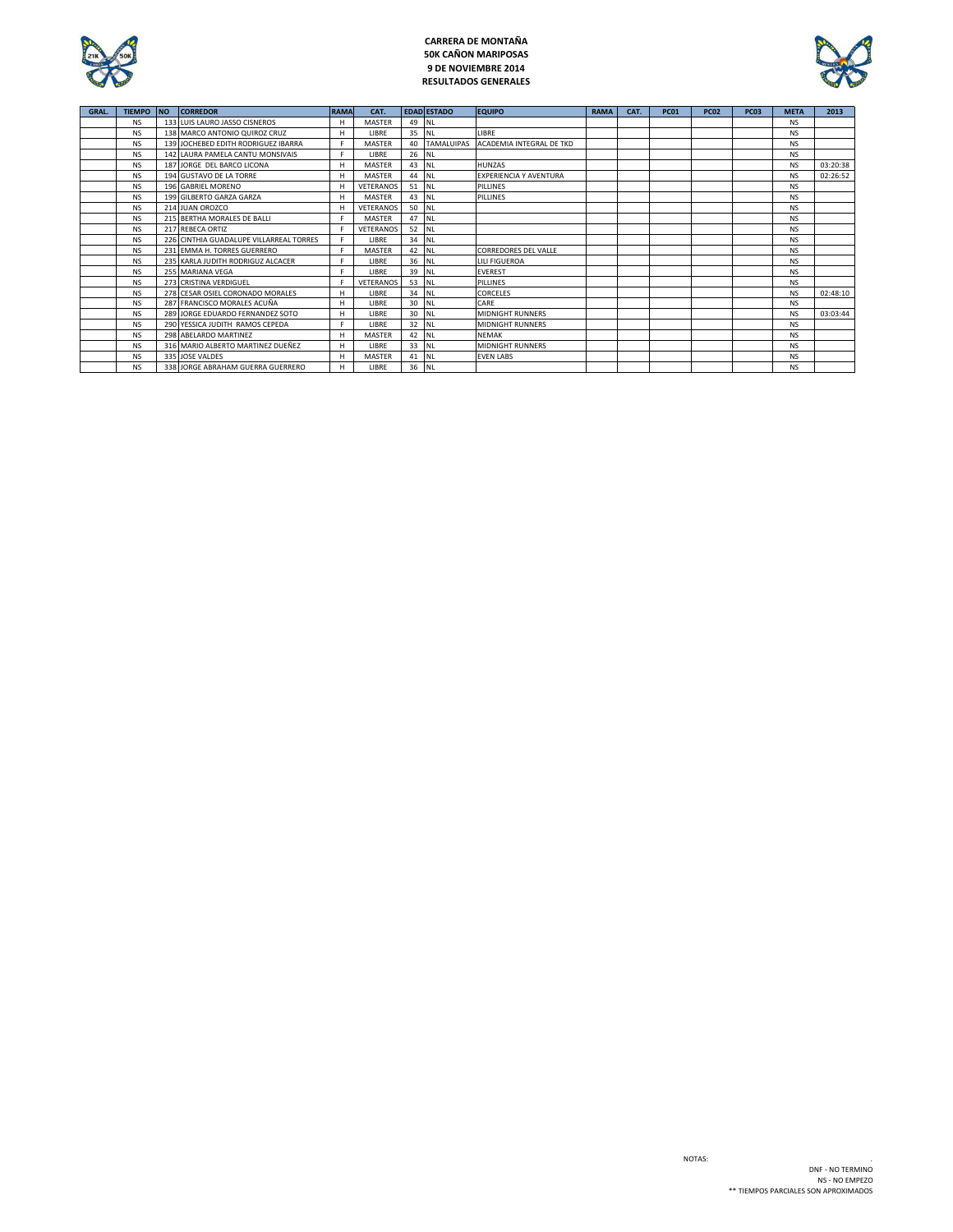

# **CARRERA DE MONTAÑA 50K CAÑON MARIPOSAS 9 DE NOVIEMBRE 2014 RESULTADOS GENERALES**



| GRAL. | <b>TIEMPO</b> | <b>NO</b> | <b>CORREDOR</b>                         | <b>RAMA</b> | CAT.             |         | <b>EDAD ESTADO</b> | <b>EQUIPO</b>                       | <b>RAMA</b> | CAT. | <b>PC01</b> | <b>PC02</b> | <b>PC03</b> | <b>META</b> | 2013     |
|-------|---------------|-----------|-----------------------------------------|-------------|------------------|---------|--------------------|-------------------------------------|-------------|------|-------------|-------------|-------------|-------------|----------|
|       | <b>NS</b>     |           | 133 LUIS LAURO JASSO CISNEROS           | H           | <b>MASTER</b>    | 49 NL   |                    |                                     |             |      |             |             |             | <b>NS</b>   |          |
|       | <b>NS</b>     |           | 138 MARCO ANTONIO QUIROZ CRUZ           | н           | LIBRE            | 35   NL |                    | LIBRE                               |             |      |             |             |             | <b>NS</b>   |          |
|       | <b>NS</b>     |           | 139 JOCHEBED EDITH RODRIGUEZ IBARRA     | F.          | MASTER           | 40      |                    | TAMALUIPAS ACADEMIA INTEGRAL DE TKD |             |      |             |             |             | <b>NS</b>   |          |
|       | <b>NS</b>     |           | 142 LAURA PAMELA CANTU MONSIVAIS        |             | LIBRE            | 26 NL   |                    |                                     |             |      |             |             |             | <b>NS</b>   |          |
|       | <b>NS</b>     |           | 187 JORGE DEL BARCO LICONA              | H           | <b>MASTER</b>    | 43 NL   |                    | <b>HUNZAS</b>                       |             |      |             |             |             | <b>NS</b>   | 03:20:38 |
|       | <b>NS</b>     |           | 194 GUSTAVO DE LA TORRE                 | H           | <b>MASTER</b>    | 44 NL   |                    | EXPERIENCIA Y AVENTURA              |             |      |             |             |             | <b>NS</b>   | 02:26:52 |
|       | <b>NS</b>     |           | 196 GABRIEL MORENO                      | H           | <b>VETERANOS</b> | 51 NL   |                    | PILLINES                            |             |      |             |             |             | <b>NS</b>   |          |
|       | <b>NS</b>     |           | 199 GILBERTO GARZA GARZA                | H           | <b>MASTER</b>    | 43 NL   |                    | PILLINES                            |             |      |             |             |             | <b>NS</b>   |          |
|       | <b>NS</b>     |           | 214 JUAN OROZCO                         | н           | VETERANOS        | 50 NL   |                    |                                     |             |      |             |             |             | <b>NS</b>   |          |
|       | <b>NS</b>     |           | 215 BERTHA MORALES DE BALLI             |             | MASTER           | 47 NL   |                    |                                     |             |      |             |             |             | <b>NS</b>   |          |
|       | <b>NS</b>     |           | 217 REBECA ORTIZ                        |             | VETERANOS        | 52 NL   |                    |                                     |             |      |             |             |             | <b>NS</b>   |          |
|       | <b>NS</b>     |           | 226 CINTHIA GUADALUPE VILLARREAL TORRES |             | LIBRE            | 34 NL   |                    |                                     |             |      |             |             |             | <b>NS</b>   |          |
|       | <b>NS</b>     |           | 231 EMMA H. TORRES GUERRERO             |             | <b>MASTER</b>    | 42 NL   |                    | <b>CORREDORES DEL VALLE</b>         |             |      |             |             |             | <b>NS</b>   |          |
|       | <b>NS</b>     |           | 235 KARLA JUDITH RODRIGUZ ALCACER       |             | LIBRE            | 36      | INL                | <b>LILI FIGUEROA</b>                |             |      |             |             |             | <b>NS</b>   |          |
|       | <b>NS</b>     |           | 255 MARIANA VEGA                        | F.          | LIBRE            | 39      | <b>INL</b>         | <b>EVEREST</b>                      |             |      |             |             |             | <b>NS</b>   |          |
|       | <b>NS</b>     |           | 273 CRISTINA VERDIGUEL                  |             | VETERANOS        | 53 NL   |                    | PILLINES                            |             |      |             |             |             | <b>NS</b>   |          |
|       | <b>NS</b>     |           | 278 CESAR OSIEL CORONADO MORALES        | H           | LIBRE            | 34 NL   |                    | CORCELES                            |             |      |             |             |             | <b>NS</b>   | 02:48:10 |
|       | <b>NS</b>     |           | 287 FRANCISCO MORALES ACUÑA             | H           | LIBRE            | 30      | <b>INL</b>         | CARE                                |             |      |             |             |             | <b>NS</b>   |          |
|       | <b>NS</b>     |           | 289 JORGE EDUARDO FERNANDEZ SOTO        | H           | LIBRE            | 30 NL   |                    | MIDNIGHT RUNNERS                    |             |      |             |             |             | <b>NS</b>   | 03:03:44 |
|       | <b>NS</b>     |           | 290 YESSICA JUDITH RAMOS CEPEDA         | F           | LIBRE            | 32 NL   |                    | <b>MIDNIGHT RUNNERS</b>             |             |      |             |             |             | <b>NS</b>   |          |
|       | <b>NS</b>     |           | 298 ABELARDO MARTINEZ                   | H           | MASTER           | 42 NL   |                    | <b>NEMAK</b>                        |             |      |             |             |             | <b>NS</b>   |          |
|       | <b>NS</b>     |           | 316 MARIO ALBERTO MARTINEZ DUEÑEZ       | H           | LIBRE            | 33   NL |                    | <b>MIDNIGHT RUNNERS</b>             |             |      |             |             |             | <b>NS</b>   |          |
|       | <b>NS</b>     |           | 335 JOSE VALDES                         | H           | <b>MASTER</b>    | 41 NL   |                    | <b>EVEN LABS</b>                    |             |      |             |             |             | <b>NS</b>   |          |
|       | <b>NS</b>     |           | 338 JORGE ABRAHAM GUERRA GUERRERO       | H           | LIBRE            | 36 NL   |                    |                                     |             |      |             |             |             | <b>NS</b>   |          |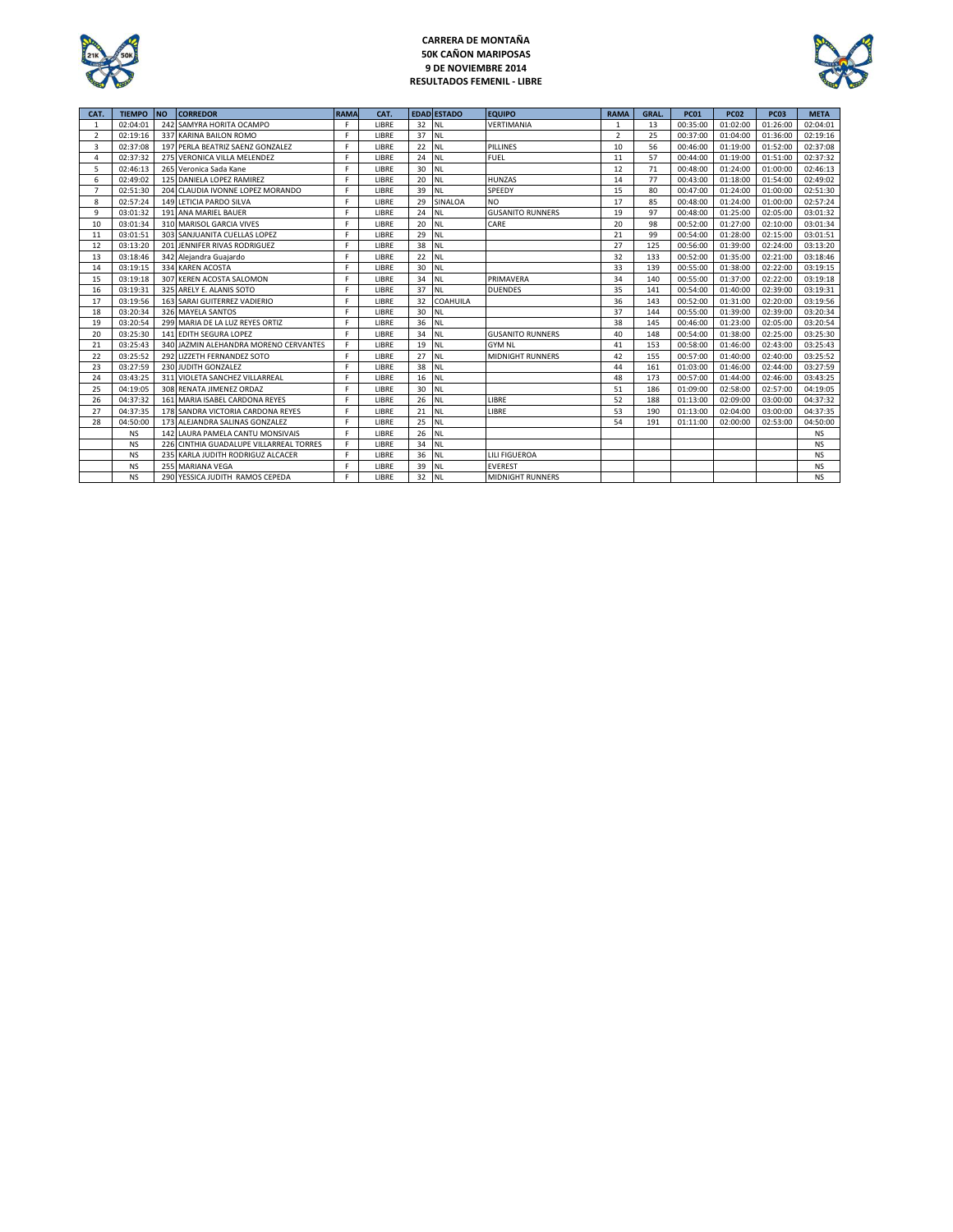

# **CARRERA DE MONTAÑA 50K CAÑON MARIPOSAS 9 DE NOVIEMBRE 2014 RESULTADOS FEMENIL - LIBRE**



| CAT.                     | <b>TIEMPO NO</b> |     | <b>CORREDOR</b>                       | <b>RAMA</b> | CAT.  |    | <b>EDAD ESTADO</b> | <b>EQUIPO</b>           | <b>RAMA</b>    | GRAL. | <b>PC01</b> | <b>PC02</b> | <b>PC03</b> | <b>META</b> |
|--------------------------|------------------|-----|---------------------------------------|-------------|-------|----|--------------------|-------------------------|----------------|-------|-------------|-------------|-------------|-------------|
|                          | 02:04:01         |     | 242 SAMYRA HORITA OCAMPO              | F           | LIBRE | 32 | INL                | VERTIMANIA              |                | 13    | 00:35:00    | 01:02:00    | 01:26:00    | 02:04:01    |
| $\overline{\phantom{a}}$ | 02:19:16         |     | 337 KARINA BAILON ROMO                | F           | LIBRE | 37 | <b>NL</b>          |                         | $\overline{2}$ | 25    | 00:37:00    | 01:04:00    | 01:36:00    | 02:19:16    |
| 3                        | 02:37:08         |     | 197 PERLA BEATRIZ SAENZ GONZALEZ      | F           | LIBRE | 22 | <b>NL</b>          | <b>PILLINES</b>         | 10             | 56    | 00:46:00    | 01:19:00    | 01:52:00    | 02:37:08    |
| Δ                        | 02:37:32         |     | 275 VERONICA VILLA MELENDEZ           | F           | LIBRE | 24 | <b>NL</b>          | <b>FUEL</b>             | 11             | 57    | 00:44:00    | 01:19:00    | 01:51:00    | 02:37:32    |
| 5                        | 02:46:13         |     | 265 Veronica Sada Kane                | F           | LIBRE | 30 | <b>NL</b>          |                         | 12             | 71    | 00:48:00    | 01:24:00    | 01:00:00    | 02:46:13    |
| 6                        | 02:49:02         |     | 125 DANIELA LOPEZ RAMIREZ             | F           | LIBRE | 20 | <b>NL</b>          | <b>HUNZAS</b>           | 14             | 77    | 00:43:00    | 01:18:00    | 01:54:00    | 02:49:02    |
|                          | 02:51:30         |     | 204 CLAUDIA IVONNE LOPEZ MORANDO      | F           | LIBRE | 39 | <b>NL</b>          | SPEEDY                  | 15             | 80    | 00:47:00    | 01:24:00    | 01:00:00    | 02:51:30    |
| 8                        | 02:57:24         |     | 149 LETICIA PARDO SILVA               | F           | LIBRE | 29 | SINALOA            | <b>NO</b>               | 17             | 85    | 00:48:00    | 01:24:00    | 01:00:00    | 02:57:24    |
| 9                        | 03:01:32         |     | 191 ANA MARIEL BAUER                  | F           | LIBRE | 24 | <b>NL</b>          | <b>GUSANITO RUNNERS</b> | 19             | 97    | 00:48:00    | 01:25:00    | 02:05:00    | 03:01:32    |
| 10                       | 03:01:34         |     | 310 MARISOL GARCIA VIVES              | F           | LIBRE | 20 | <b>NL</b>          | CARE                    | 20             | 98    | 00:52:00    | 01:27:00    | 02:10:00    | 03:01:34    |
| 11                       | 03:01:51         |     | 303 SANJUANITA CUELLAS LOPEZ          | F           | LIBRE | 29 | <b>NL</b>          |                         | 21             | 99    | 00:54:00    | 01:28:00    | 02:15:00    | 03:01:51    |
| 12                       | 03:13:20         |     | 201 JENNIFER RIVAS RODRIGUEZ          | F           | LIBRE | 38 | <b>NL</b>          |                         | 27             | 125   | 00:56:00    | 01:39:00    | 02:24:00    | 03:13:20    |
| 13                       | 03:18:46         |     | 342 Alejandra Guajardo                | F           | LIBRE | 22 | <b>NL</b>          |                         | 32             | 133   | 00:52:00    | 01:35:00    | 02:21:00    | 03:18:46    |
| 14                       | 03:19:15         |     | 334 KAREN ACOSTA                      | F           | LIBRE | 30 | <b>NL</b>          |                         | 33             | 139   | 00:55:00    | 01:38:00    | 02:22:00    | 03:19:15    |
| 15                       | 03:19:18         |     | 307 KEREN ACOSTA SALOMON              | F           | LIBRE | 34 | <b>NL</b>          | PRIMAVERA               | 34             | 140   | 00:55:00    | 01:37:00    | 02:22:00    | 03:19:18    |
| 16                       | 03:19:31         |     | 325 ARELY E. ALANIS SOTO              | F           | LIBRE | 37 | <b>NL</b>          | <b>DUENDES</b>          | 35             | 141   | 00:54:00    | 01:40:00    | 02:39:00    | 03:19:31    |
| 17                       | 03:19:56         |     | 163 SARAI GUITERREZ VADIERIO          | F           | LIBRE | 32 | <b>COAHUILA</b>    |                         | 36             | 143   | 00:52:00    | 01:31:00    | 02:20:00    | 03:19:56    |
| 18                       | 03:20:34         |     | 326 MAYELA SANTOS                     | F           | LIBRE | 30 | <b>NL</b>          |                         | 37             | 144   | 00:55:00    | 01:39:00    | 02:39:00    | 03:20:34    |
| 19                       | 03:20:54         |     | 299 MARIA DE LA LUZ REYES ORTIZ       | F           | LIBRE | 36 | <b>INL</b>         |                         | 38             | 145   | 00:46:00    | 01:23:00    | 02:05:00    | 03:20:54    |
| 20                       | 03:25:30         |     | 141 EDITH SEGURA LOPEZ                | F           | LIBRE | 34 | <b>NL</b>          | <b>GUSANITO RUNNERS</b> | 40             | 148   | 00:54:00    | 01:38:00    | 02:25:00    | 03:25:30    |
| 21                       | 03:25:43         |     | 340 JAZMIN ALEHANDRA MORENO CERVANTES | F           | LIBRE | 19 | <b>NL</b>          | <b>GYM NL</b>           | 41             | 153   | 00:58:00    | 01:46:00    | 02:43:00    | 03:25:43    |
| 22                       | 03:25:52         |     | 292 LIZZETH FERNANDEZ SOTO            | F           | LIBRE | 27 | <b>NL</b>          | <b>MIDNIGHT RUNNERS</b> | 42             | 155   | 00:57:00    | 01:40:00    | 02:40:00    | 03:25:52    |
| 23                       | 03:27:59         |     | 230 JUDITH GONZALEZ                   | F           | LIBRE | 38 | <b>NL</b>          |                         | 44             | 161   | 01:03:00    | 01:46:00    | 02:44:00    | 03:27:59    |
| 24                       | 03:43:25         |     | 311 VIOLETA SANCHEZ VILLARREAL        | F           | LIBRE | 16 | <b>INL</b>         |                         | 48             | 173   | 00:57:00    | 01:44:00    | 02:46:00    | 03:43:25    |
| 25                       | 04:19:05         |     | 308 RENATA JIMENEZ ORDAZ              | F           | LIBRE | 30 | <b>NL</b>          |                         | 51             | 186   | 01:09:00    | 02:58:00    | 02:57:00    | 04:19:05    |
| 26                       | 04:37:32         |     | 161 MARIA ISABEL CARDONA REYES        | F           | LIBRE | 26 | <b>NL</b>          | LIBRE                   | 52             | 188   | 01:13:00    | 02:09:00    | 03:00:00    | 04:37:32    |
| 27                       | 04:37:35         |     | 178 SANDRA VICTORIA CARDONA REYES     | F           | LIBRE | 21 | <b>NL</b>          | LIBRE                   | 53             | 190   | 01:13:00    | 02:04:00    | 03:00:00    | 04:37:35    |
| 28                       | 04:50:00         |     | 173 ALEJANDRA SALINAS GONZALEZ        | F           | LIBRE | 25 | <b>NL</b>          |                         | 54             | 191   | 01:11:00    | 02:00:00    | 02:53:00    | 04:50:00    |
|                          | <b>NS</b>        | 142 | LAURA PAMELA CANTU MONSIVAIS          | F           | LIBRE | 26 | <b>NL</b>          |                         |                |       |             |             |             | <b>NS</b>   |
|                          | <b>NS</b>        | 226 | CINTHIA GUADALUPE VILLARREAL TORRES   | F           | LIBRE | 34 | <b>NL</b>          |                         |                |       |             |             |             | <b>NS</b>   |
|                          | <b>NS</b>        |     | 235 KARLA JUDITH RODRIGUZ ALCACER     | F           | LIBRE | 36 | <b>NL</b>          | <b>LILI FIGUEROA</b>    |                |       |             |             |             | <b>NS</b>   |
|                          | <b>NS</b>        |     | 255 MARIANA VEGA                      | F           | LIBRE | 39 | <b>NL</b>          | <b>EVEREST</b>          |                |       |             |             |             | <b>NS</b>   |
|                          | <b>NS</b>        |     | 290 YESSICA JUDITH RAMOS CEPEDA       | F           | LIBRE | 32 | <b>INL</b>         | <b>MIDNIGHT RUNNERS</b> |                |       |             |             |             | <b>NS</b>   |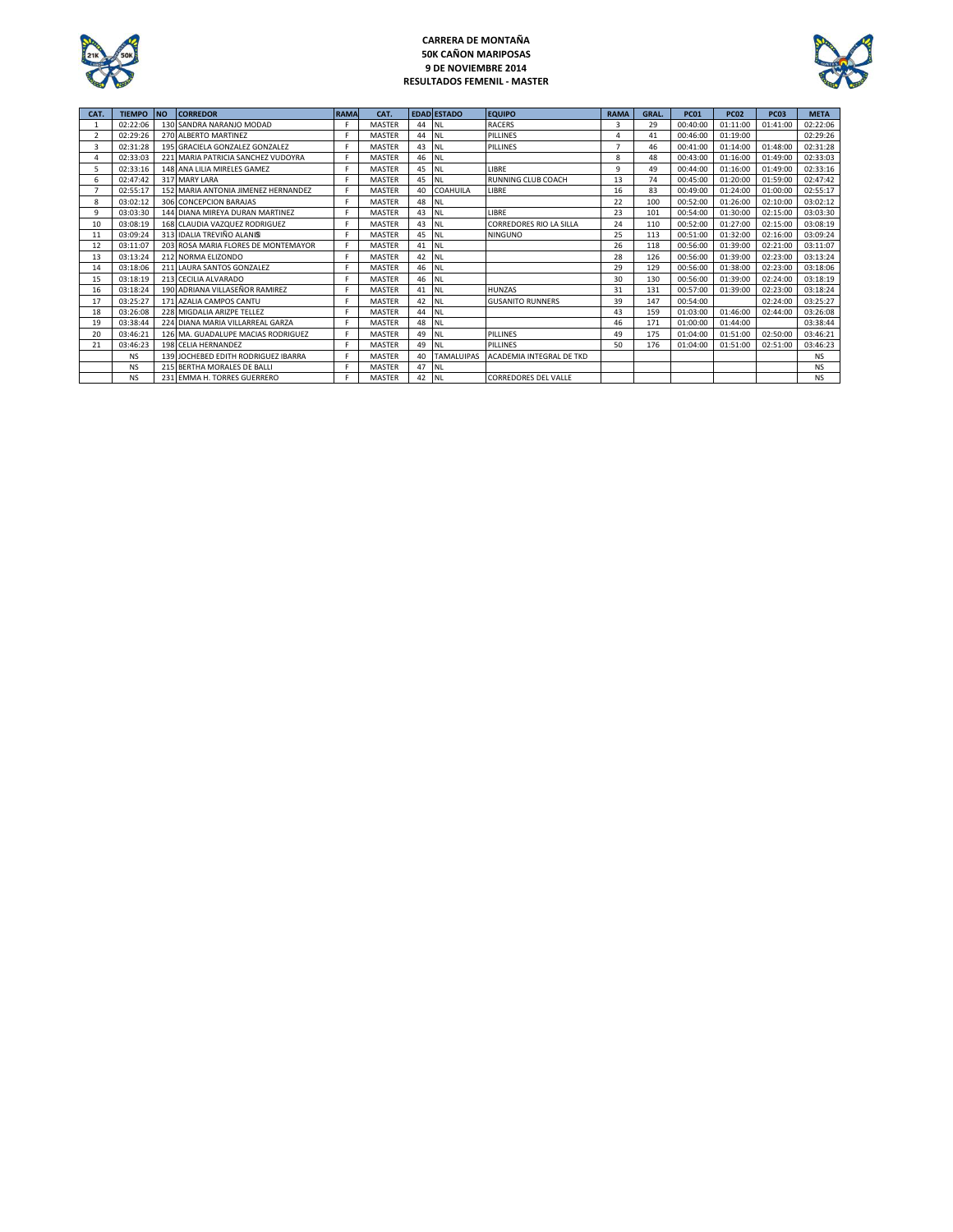

### **CARRERA DE MONTAÑA 50K CAÑON MARIPOSAS 9 DE NOVIEMBRE 2014 RESULTADOS FEMENIL - MASTER**



| CAT. | <b>TIEMPO</b> | <b>INO</b> | <b>CORREDOR</b>                     | <b>RAMA</b> | CAT.          |    | <b>EDAD ESTADO</b> | <b>EQUIPO</b>                  | <b>RAMA</b> | GRAL. | <b>PC01</b> | <b>PC02</b> | <b>PC03</b> | <b>META</b> |
|------|---------------|------------|-------------------------------------|-------------|---------------|----|--------------------|--------------------------------|-------------|-------|-------------|-------------|-------------|-------------|
|      | 02:22:06      |            | 130 SANDRA NARANJO MODAD            |             | <b>MASTER</b> | 44 | <b>NL</b>          | <b>RACERS</b>                  |             | 29    | 00:40:00    | 01:11:00    | 01:41:00    | 02:22:06    |
|      | 02:29:26      |            | 270 ALBERTO MARTINEZ                |             | <b>MASTER</b> | 44 | <b>NL</b>          | <b>PILLINES</b>                |             | 41    | 00:46:00    | 01:19:00    |             | 02:29:26    |
| 3    | 02:31:28      |            | 195 GRACIELA GONZALEZ GONZALEZ      | F           | <b>MASTER</b> | 43 | <b>NL</b>          | PILLINES                       |             | 46    | 00:41:00    | 01:14:00    | 01:48:00    | 02:31:28    |
|      | 02:33:03      |            | 221 MARIA PATRICIA SANCHEZ VUDOYRA  | F           | <b>MASTER</b> | 46 | <b>NL</b>          |                                | 8           | 48    | 00:43:00    | 01:16:00    | 01:49:00    | 02:33:03    |
|      | 02:33:16      |            | 148 ANA LILIA MIRELES GAMEZ         | F           | <b>MASTER</b> | 45 | <b>NL</b>          | LIBRE                          | q           | 49    | 00:44:00    | 01:16:00    | 01:49:00    | 02:33:16    |
| 6    | 02:47:42      |            | 317 MARY LARA                       | Е           | <b>MASTER</b> | 45 | <b>NL</b>          | <b>RUNNING CLUB COACH</b>      | 13          | 74    | 00:45:00    | 01:20:00    | 01:59:00    | 02:47:42    |
|      | 02:55:17      |            | 152 MARIA ANTONIA JIMENEZ HERNANDEZ |             | <b>MASTER</b> | 40 | <b>COAHUILA</b>    | LIBRE                          | 16          | 83    | 00:49:00    | 01:24:00    | 01:00:00    | 02:55:17    |
| 8    | 03:02:12      |            | 306 CONCEPCION BARAJAS              |             | <b>MASTER</b> | 48 | <b>NL</b>          |                                | 22          | 100   | 00:52:00    | 01:26:00    | 02:10:00    | 03:02:12    |
| 9    | 03:03:30      |            | 144 DIANA MIREYA DURAN MARTINEZ     |             | <b>MASTER</b> | 43 | <b>NL</b>          | LIBRE                          | 23          | 101   | 00:54:00    | 01:30:00    | 02:15:00    | 03:03:30    |
| 10   | 03:08:19      |            | 168 CLAUDIA VAZQUEZ RODRIGUEZ       |             | <b>MASTER</b> | 43 | <b>NL</b>          | <b>CORREDORES RIO LA SILLA</b> | 24          | 110   | 00:52:00    | 01:27:00    | 02:15:00    | 03:08:19    |
| 11   | 03:09:24      |            | 313 IDALIA TREVIÑO ALANIS           |             | <b>MASTER</b> | 45 | <b>NL</b>          | <b>NINGUNO</b>                 | 25          | 113   | 00:51:00    | 01:32:00    | 02:16:00    | 03:09:24    |
| 12   | 03:11:07      |            | 203 ROSA MARIA FLORES DE MONTEMAYOR | F           | <b>MASTER</b> | 41 | <b>NL</b>          |                                | 26          | 118   | 00:56:00    | 01:39:00    | 02:21:00    | 03:11:07    |
| 13   | 03:13:24      |            | 212 NORMA ELIZONDO                  | F           | <b>MASTER</b> | 42 | <b>NL</b>          |                                | 28          | 126   | 00:56:00    | 01:39:00    | 02:23:00    | 03:13:24    |
| 14   | 03:18:06      |            | 211 LAURA SANTOS GONZALEZ           | Е           | <b>MASTER</b> | 46 | <b>NL</b>          |                                | 29          | 129   | 00:56:00    | 01:38:00    | 02:23:00    | 03:18:06    |
| 15   | 03:18:19      |            | 213 CECILIA ALVARADO                | F           | <b>MASTER</b> | 46 | <b>NL</b>          |                                | 30          | 130   | 00:56:00    | 01:39:00    | 02:24:00    | 03:18:19    |
| 16   | 03:18:24      |            | 190 ADRIANA VILLASEÑOR RAMIREZ      |             | <b>MASTER</b> | 41 | <b>NL</b>          | <b>HUNZAS</b>                  | 31          | 131   | 00:57:00    | 01:39:00    | 02:23:00    | 03:18:24    |
| 17   | 03:25:27      |            | 171 AZALIA CAMPOS CANTU             |             | <b>MASTER</b> | 42 | <b>NL</b>          | <b>GUSANITO RUNNERS</b>        | 39          | 147   | 00:54:00    |             | 02:24:00    | 03:25:27    |
| 18   | 03:26:08      |            | 228 MIGDALIA ARIZPE TELLEZ          |             | <b>MASTER</b> | 44 | <b>NL</b>          |                                | 43          | 159   | 01:03:00    | 01:46:00    | 02:44:00    | 03:26:08    |
| 19   | 03:38:44      |            | 224 DIANA MARIA VILLARREAL GARZA    |             | <b>MASTER</b> | 48 | <b>NL</b>          |                                | 46          | 171   | 01:00:00    | 01:44:00    |             | 03:38:44    |
| 20   | 03:46:21      |            | 126 MA, GUADALUPE MACIAS RODRIGUEZ  | F           | <b>MASTER</b> | 49 | <b>NL</b>          | PILLINES                       | 49          | 175   | 01:04:00    | 01:51:00    | 02:50:00    | 03:46:21    |
| 21   | 03:46:23      |            | 198 CELIA HERNANDEZ                 | F           | <b>MASTER</b> | 49 | <b>NL</b>          | PILLINES                       | 50          | 176   | 01:04:00    | 01:51:00    | 02:51:00    | 03:46:23    |
|      | <b>NS</b>     |            | 139 JOCHEBED EDITH RODRIGUEZ IBARRA | F           | <b>MASTER</b> | 40 | <b>TAMALUIPAS</b>  | ACADEMIA INTEGRAL DE TKD       |             |       |             |             |             | NS.         |
|      | <b>NS</b>     |            | 215 BERTHA MORALES DE BALLI         | Е           | <b>MASTER</b> | 47 | <b>NL</b>          |                                |             |       |             |             |             | <b>NS</b>   |
|      | <b>NS</b>     |            | 231 EMMA H. TORRES GUERRERO         |             | <b>MASTER</b> | 42 | <b>NL</b>          | <b>CORREDORES DEL VALLE</b>    |             |       |             |             |             | <b>NS</b>   |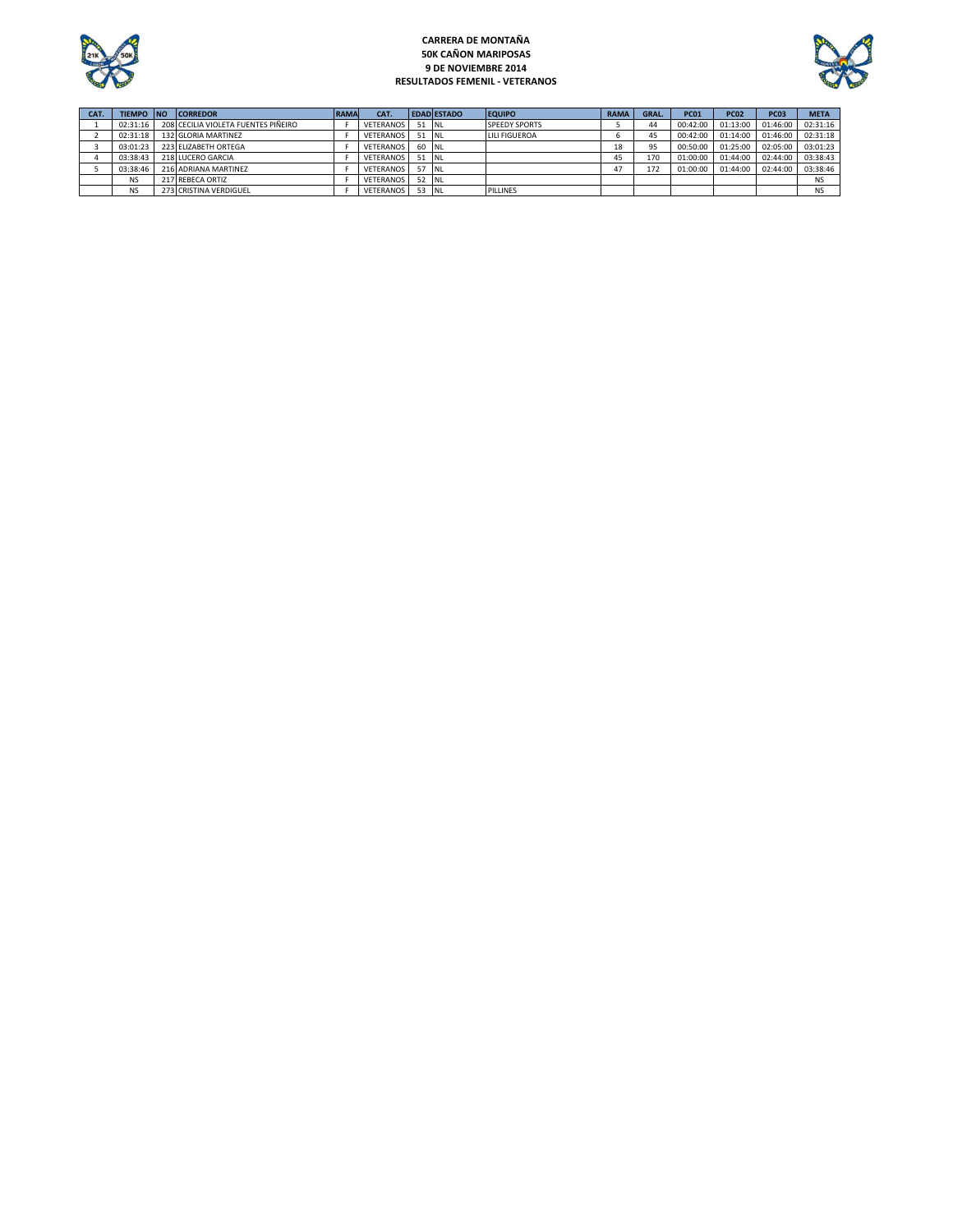

### **CARRERA DE MONTAÑA 50K CAÑON MARIPOSAS 9 DE NOVIEMBRE 2014 RESULTADOS FEMENIL - VETERANOS**



| CAT. | TIEMPO INO | <b>CORREDOR</b>                     | <b>RAMA</b> | CAT.             |        | <b>EDAD ESTADO</b> | <b>EQUIPO</b>        | <b>RAMA</b> | GRAL. | <b>PC01</b> | <b>PC02</b> | <b>PC03</b> | <b>META</b> |
|------|------------|-------------------------------------|-------------|------------------|--------|--------------------|----------------------|-------------|-------|-------------|-------------|-------------|-------------|
|      | 02:31:16   | 208 CECILIA VIOLETA FUENTES PIÑEIRO |             | <b>VETERANOS</b> | 51 INL |                    | <b>SPEEDY SPORTS</b> |             | 44    | 00:42:00    | 01:13:00    | 01:46:00    | 02:31:16    |
|      | 02:31:18   | 132 GLORIA MARTINEZ                 |             | <b>VETERANOS</b> | 51 NL  |                    | <b>LILI FIGUEROA</b> |             | 45    | 00:42:00    | 01:14:00    | 01:46:00    | 02:31:18    |
|      | 03:01:23   | 223 ELIZABETH ORTEGA                |             | <b>VETERANOS</b> | 60 NL  |                    |                      | 18          | 95    | 00:50:00    | 01:25:00    | 02:05:00    | 03:01:23    |
|      | 03:38:43   | 218 LUCERO GARCIA                   |             | <b>VETERANOS</b> | 51 NL  |                    |                      | 45          | 170   | 01:00:00    | 01:44:00    | 02:44:00    | 03:38:43    |
|      | 03:38:46   | 216 ADRIANA MARTINEZ                |             | <b>VETERANOS</b> | -57    | - INL              |                      |             | 172   | 01:00:00    | 01:44:00    | 02:44:00    | 03:38:46    |
|      | <b>NS</b>  | 217 REBECA ORTIZ                    |             | <b>VETERANOS</b> | 52     | - NL               |                      |             |       |             |             |             | <b>NS</b>   |
|      | <b>NS</b>  | 273 CRISTINA VERDIGUEL              |             | <b>VETERANOS</b> | 53     | <b>INL</b>         | PILLINES             |             |       |             |             |             | <b>NS</b>   |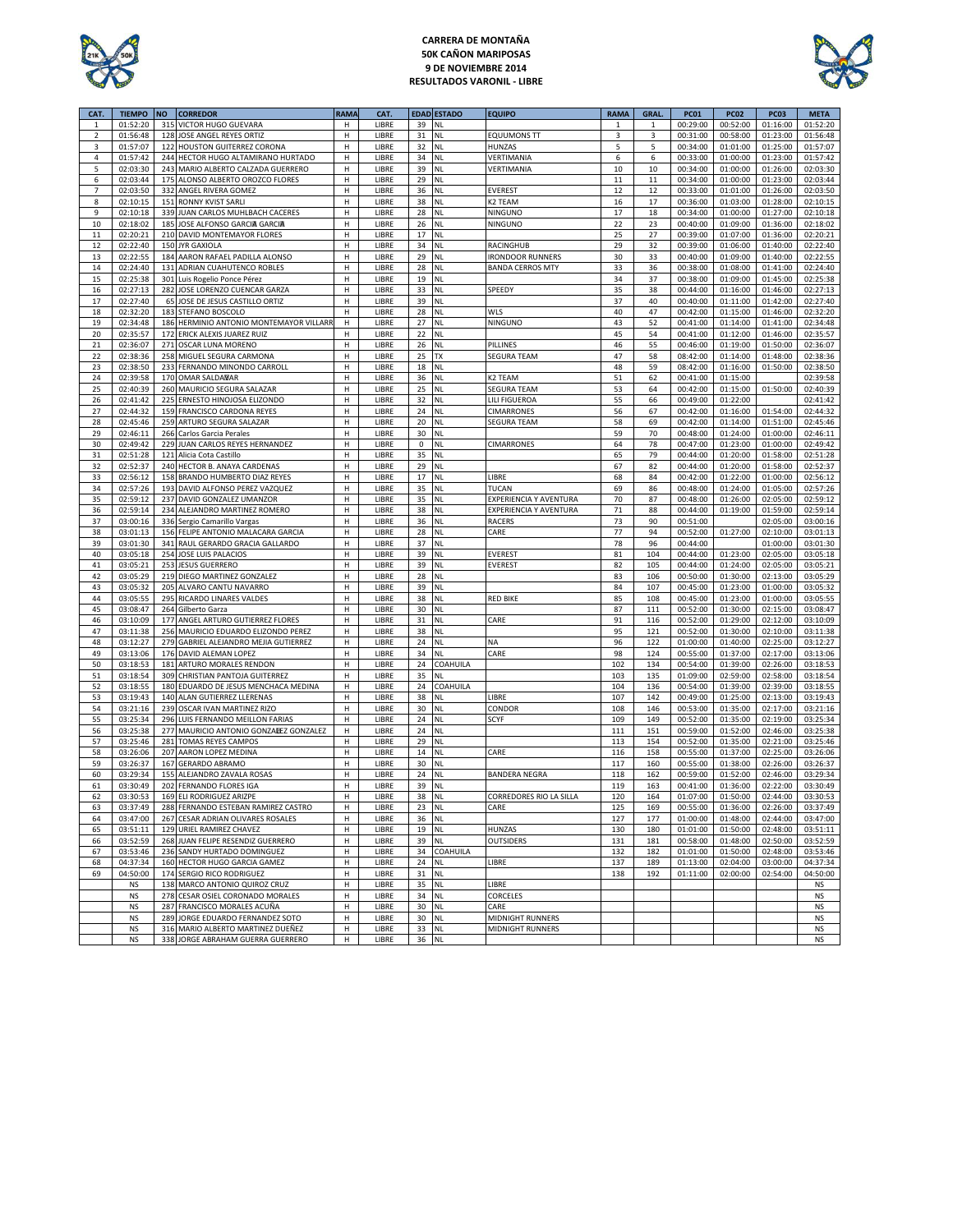

### **CARRERA DE MONTAÑA 50K CAÑON MARIPOSAS 9 DE NOVIEMBRE 2014 RESULTADOS VARONIL - LIBRE**



| CAT.           | <b>TIEMPO</b>        | <b>NO</b> | <b>CORREDOR</b>                                                          | <b>RAMA</b> | CAT.           |             | <b>EDAD ESTADO</b> | <b>EQUIPO</b>           | <b>RAMA</b> | <b>GRAL</b> | <b>PC01</b>          | <b>PC02</b>          | <b>PC03</b>          | <b>META</b>          |
|----------------|----------------------|-----------|--------------------------------------------------------------------------|-------------|----------------|-------------|--------------------|-------------------------|-------------|-------------|----------------------|----------------------|----------------------|----------------------|
| 1              | 01:52:20             | 315       | VICTOR HUGO GUEVARA                                                      | н           | LIBRE          | 39          | NL                 |                         | 1           | 1           | 00:29:00             | 00:52:00             | 01:16:00             | 01:52:20             |
| $\overline{2}$ | 01:56:48             | 128       | JOSE ANGEL REYES ORTIZ                                                   | н           | LIBRE          | 31          | <b>NL</b>          | <b>EQUUMONS TT</b>      | 3           | 3           | 00:31:00             | 00:58:00             | 01:23:00             | 01:56:48             |
| 3              | 01:57:07             | 122       | HOUSTON GUITERREZ CORONA                                                 | Н           | LIBRE          | 32          | <b>NL</b>          | HUNZAS                  | 5           | 5           | 00:34:00             | 01:01:00             | 01:25:00             | 01:57:07             |
| 4              | 01:57:42             |           | 244 HECTOR HUGO ALTAMIRANO HURTADO                                       | н           | LIBRE          | 34          | <b>NL</b>          | VERTIMANIA              | 6           | 6           | 00:33:00             | 01:00:00             | 01:23:00             | 01:57:42             |
| 5              | 02:03:30             | 243       | MARIO ALBERTO CALZADA GUERRERO                                           | н           | LIBRE          | 39          | NL                 | VERTIMANIA              | $10\,$      | 10          | 00:34:00             | 01:00:00             | 01:26:00             | 02:03:30             |
| 6              | 02:03:44             | 175       | ALONSO ALBERTO OROZCO FLORES                                             | Н           | LIBRE          | 29          | <b>NL</b>          |                         | 11          | 11          | 00:34:00             | 01:00:00             | 01:23:00             | 02:03:44             |
| 7              | 02:03:50             | 332       | ANGEL RIVERA GOMEZ                                                       | н           | LIBRE          | 36          | <b>NL</b>          | <b>EVEREST</b>          | 12          | 12          | 00:33:00             | 01:01:00             | 01:26:00             | 02:03:50             |
| 8              | 02:10:15             | 151       | <b>RONNY KVIST SARLI</b>                                                 | н           | LIBRE          | 38          | <b>NL</b>          | K <sub>2</sub> TEAM     | 16          | 17          | 00:36:00             | 01:03:00             | 01:28:00             | 02:10:15             |
| 9              | 02:10:18             | 339       | JUAN CARLOS MUHLBACH CACERES                                             | н           | LIBRE          | 28          | <b>NL</b>          | NINGUNO                 | 17          | 18          | 00:34:00             | 01:00:00             | 01:27:00             | 02:10:18             |
| $10\,$         | 02:18:02             |           | 185 JOSE ALFONSO GARCIA GARCIA                                           | н           | LIBRE          | 26          | NL                 | NINGUNO                 | 22          | 23          | 00:40:00             | 01:09:00             | 01:36:00             | 02:18:02             |
| 11             | 02:20:21             | 210       | DAVID MONTEMAYOR FLORES                                                  | н           | LIBRE          | 17          | <b>NL</b>          |                         | 25          | 27          | 00:39:00             | 01:07:00             | 01:36:00             | 02:20:21             |
| 12             | 02:22:40             | 150       | <b>JYR GAXIOLA</b>                                                       | н           | LIBRE          | 34          | <b>NL</b>          | <b>RACINGHUB</b>        | 29          | 32          | 00:39:00             | 01:06:00             | 01:40:00             | 02:22:40             |
| 13             | 02:22:55             |           | 184 AARON RAFAEL PADILLA ALONSO                                          | н           | LIBRE          | 29          | <b>NL</b>          | <b>IRONDOOR RUNNERS</b> | 30          | 33          | 00:40:00             | 01:09:00             | 01:40:00             | 02:22:55             |
| 14             | 02:24:40             | 131       | ADRIAN CUAHUTENCO ROBLES                                                 | н           | LIBRE          | 28          | <b>NL</b>          | <b>BANDA CERROS MTY</b> | 33          | 36          | 00:38:00             | 01:08:00             | 01:41:00             | 02:24:40             |
| 15             | 02:25:38             | 301       | Luis Rogelio Ponce Pérez                                                 | н           | LIBRE          | 19          | <b>NL</b>          |                         | 34          | 37          | 00:38:00             | 01:09:00             | 01:45:00             | 02:25:38             |
| 16             | 02:27:13             | 282       | JOSE LORENZO CUENCAR GARZA                                               | н           | LIBRE          | 33          | NL                 | SPEEDY                  | 35          | 38          | 00:44:00             | 01:16:00             | 01:46:00             | 02:27:13             |
| 17             | 02:27:40             | 65        | JOSE DE JESUS CASTILLO ORTIZ                                             | н           | LIBRE          | 39          | <b>NL</b>          |                         | 37          | 40          | 00:40:00             | 01:11:00             | 01:42:00             | 02:27:40             |
| 18             | 02:32:20             | 183       | STEFANO BOSCOLO                                                          | н           | LIBRE          | 28          | <b>NL</b>          | WLS                     | 40          | 47          | 00:42:00             | 01:15:00             | 01:46:00             | 02:32:20             |
| 19             | 02:34:48             |           | 186 HERMINIO ANTONIO MONTEMAYOR VILLARE                                  | н           | LIBRE          | 27          | <b>NL</b>          | <b>NINGUNO</b>          | 43          | 52          | 00:41:00             | 01:14:00             | 01:41:00             | 02:34:48             |
| 20             | 02:35:57             | 172       | ERICK ALEXIS JUAREZ RUIZ                                                 | н           | LIBRE          | 22          | NL                 |                         | 45          | 54          | 00:41:00             | 01:12:00             | 01:46:00             | 02:35:57             |
| 21             | 02:36:07             |           | 271 OSCAR LUNA MORENO                                                    | н           | LIBRE          | 26          | <b>NL</b>          | PILLINES                | 46          | 55          | 00:46:00             | 01:19:00             | 01:50:00             | 02:36:07             |
| 22             | 02:38:36             | 258       | MIGUEL SEGURA CARMONA                                                    | н           | LIBRE          | 25          | TX                 | <b>SEGURA TEAM</b>      | 47          | 58          | 08:42:00             | 01:14:00             | 01:48:00             | 02:38:36             |
| 23             | 02:38:50             | 233       | FERNANDO MINONDO CARROLL                                                 | н           | LIBRE          | 18          | NL                 |                         | 48          | 59          | 08:42:00             | 01:16:00             | 01:50:00             | 02:38:50             |
| 24             | 02:39:58             |           | 170 OMAR SALDAVAR                                                        | н           | LIBRE          | 36          | NL                 | K2 TEAM                 | 51          | 62          | 00:41:00             | 01:15:00             |                      | 02:39:58             |
| 25             | 02:40:39             | 260       | MAURICIO SEGURA SALAZAR                                                  | н           | LIBRE          | 25          | <b>NL</b>          | <b>SEGURA TEAM</b>      | 53          | 64          | 00:42:00             | 01:15:00             | 01:50:00             | 02:40:39             |
| 26             | 02:41:42             | 225       | ERNESTO HINOJOSA ELIZONDO                                                | н           | LIBRE          | 32          | <b>NL</b>          | LILI FIGUEROA           | 55          | 66          | 00:49:00             | 01:22:00             |                      | 02:41:42             |
| 27             | 02:44:32             | 159       | FRANCISCO CARDONA REYES                                                  | н           | LIBRE          | 24          | NL                 | CIMARRONES              | 56          | 67          | 00:42:00             | 01:16:00             | 01:54:00             | 02:44:32             |
| 28             | 02:45:46             | 259       | ARTURO SEGURA SALAZAR                                                    | Н           | LIBRE          | 20          | NL                 | <b>SEGURA TEAM</b>      | 58          | 69          | 00:42:00             | 01:14:00             | 01:51:00             | 02:45:46             |
| 29             | 02:46:11             | 266       | Carlos Garcia Perales                                                    | н           | LIBRE          | 30          | <b>NL</b>          |                         | 59          | 70          | 00:48:00             | 01:24:00             | 01:00:00             | 02:46:11             |
| 30             | 02:49:42             | 229       | JUAN CARLOS REYES HERNANDEZ                                              | н           | LIBRE          | $\mathbf 0$ | <b>NL</b>          | CIMARRONES              | 64          | 78          | 00:47:00             | 01:23:00             | 01:00:00             | 02:49:42             |
| 31             | 02:51:28             | 121       | Alicia Cota Castillo                                                     | н           | LIBRE          | 35          | <b>NL</b>          |                         | 65          | 79          | 00:44:00             | 01:20:00             | 01:58:00             | 02:51:28             |
| 32             | 02:52:37             |           | 240 HECTOR B. ANAYA CARDENAS                                             | н           | LIBRE          | 29          | <b>NL</b>          |                         | 67          | 82          | 00:44:00             | 01:20:00             | 01:58:00             | 02:52:37             |
| 33             | 02:56:12             | 158       | BRANDO HUMBERTO DIAZ REYES                                               | н           | LIBRE          | 17          | NL                 | LIBRE                   | 68          | 84          | 00:42:00             | 01:22:00             | 01:00:00             | 02:56:12             |
| 34             | 02:57:26             | 193       | DAVID ALFONSO PEREZ VAZQUEZ                                              | н           | LIBRE          | 35          | NL                 | <b>TUCAN</b>            | 69          | 86          | 00:48:00             | 01:24:00             | 01:05:00             | 02:57:26             |
| 35             | 02:59:12             |           | 237 DAVID GONZALEZ UMANZOR                                               | н           | LIBRE          | 35          | <b>NL</b>          | EXPERIENCIA Y AVENTURA  | 70          | 87          | 00:48:00             | 01:26:00             | 02:05:00             | 02:59:12             |
| 36             | 02:59:14             |           | 234 ALEJANDRO MARTINEZ ROMERO                                            | н           | LIBRE          | 38          | <b>NL</b>          | EXPERIENCIA Y AVENTURA  | 71          | 88          | 00:44:00             | 01:19:00             | 01:59:00             | 02:59:14             |
| 37             | 03:00:16             |           | 336 Sergio Camarillo Vargas                                              | н           | LIBRE          | 36          | <b>NL</b>          | <b>RACERS</b>           | 73          | 90          | 00:51:00             |                      | 02:05:00             | 03:00:16             |
| 38             | 03:01:13             |           | 156 FELIPE ANTONIO MALACARA GARCIA                                       | н           | LIBRE          | 28          | NL                 | CARE                    | 77          | 94          | 00:52:00             | 01:27:00             | 02:10:00             | 03:01:13             |
| 39             | 03:01:30             | 341       | RAUL GERARDO GRACIA GALLARDO                                             | н           | LIBRE          | 37          | <b>NL</b>          |                         | 78          | 96          | 00:44:00             |                      | 01:00:00             | 03:01:30             |
| 40             | 03:05:18             |           | 254 JOSE LUIS PALACIOS                                                   | н           | LIBRE          | 39          | <b>NL</b>          | <b>EVEREST</b>          | 81          | 104         | 00:44:00             | 01:23:00             | 02:05:00             | 03:05:18             |
| 41             | 03:05:21             | 253       | <b>JESUS GUERRERO</b>                                                    | н           | LIBRE          | 39          | NL                 | <b>EVEREST</b>          | 82          | 105         | 00:44:00             | 01:24:00             | 02:05:00             | 03:05:21             |
| 42             | 03:05:29             |           | 219 DIEGO MARTINEZ GONZALEZ                                              | Н           | LIBRE          | 28          | <b>NL</b>          |                         | 83          | 106         | 00:50:00             | 01:30:00             | 02:13:00             | 03:05:29             |
| 43             | 03:05:32             |           | 205 ALVARO CANTU NAVARRO                                                 | н           | LIBRE          | 39          | <b>NL</b>          |                         | 84          | 107         | 00:45:00             | 01:23:00             | 01:00:00             | 03:05:32             |
| 44             | 03:05:55             | 295       | RICARDO LINARES VALDES                                                   | н           | LIBRE          | 38          | NL                 | <b>RED BIKE</b>         | 85          | 108         | 00:45:00             | 01:23:00             | 01:00:00             | 03:05:55             |
| 45             | 03:08:47             | 264       | Gilberto Garza                                                           | н           | LIBRE          | 30          | NL                 |                         | 87          | 111         | 00:52:00             | 01:30:00             | 02:15:00             | 03:08:47             |
| 46<br>47       | 03:10:09             | 177       | ANGEL ARTURO GUTIERREZ FLORES                                            | н<br>н      | LIBRE<br>LIBRE | 31          | NL<br><b>NL</b>    | CARE                    | 91          | 116<br>121  | 00:52:00             | 01:29:00             | 02:12:00             | 03:10:09             |
| 48             | 03:11:38<br>03:12:27 | 279       | 256 MAURICIO EDUARDO ELIZONDO PEREZ<br>GABRIEL ALEJANDRO MEJIA GUTIERREZ | н           | LIBRE          | 38<br>24    | NL                 | NA                      | 95<br>96    | 122         | 00:52:00<br>01:00:00 | 01:30:00<br>01:40:00 | 02:10:00<br>02:25:00 | 03:11:38<br>03:12:27 |
| 49             | 03:13:06             | 176       | DAVID ALEMAN LOPEZ                                                       | н           | LIBRE          | 34          | NL                 | CARE                    | 98          | 124         | 00:55:00             | 01:37:00             | 02:17:00             | 03:13:06             |
| 50             | 03:18:53             | 181       | ARTURO MORALES RENDON                                                    | н           | LIBRE          | 24          | COAHUILA           |                         | 102         | 134         | 00:54:00             | 01:39:00             | 02:26:00             | 03:18:53             |
| 51             | 03:18:54             | 309       | CHRISTIAN PANTOJA GUITERREZ                                              | н           | LIBRE          | 35          | NI.                |                         | 103         | 135         | 01:09:00             | 02:59:00             | 02:58:00             | 03:18:54             |
| 52             | 03:18:55             |           | 180 EDUARDO DE JESUS MENCHACA MEDINA                                     | н           | LIBRE          | 24          | COAHUILA           |                         | 104         | 136         | 00:54:00             | 01:39:00             | 02:39:00             | 03:18:55             |
| 53             | 03:19:43             | 140       | ALAN GUTIERREZ LLERENAS                                                  | Н           | LIBRE          | 38          | <b>NL</b>          | LIBRE                   | 107         | 142         | 00:49:00             | 01:25:00             | 02:13:00             | 03:19:43             |
| 54             | 03:21:16             |           | 239 OSCAR IVAN MARTINEZ RIZO                                             | н           | LIBRE          | 30          | <b>NL</b>          | CONDOR                  | 108         | 146         | 00:53:00             | 01:35:00             | 02:17:00             | 03:21:16             |
| 55             | 03:25:34             | 296       | LUIS FERNANDO MEILLON FARIAS                                             | н           | LIBRE          | 24          | <b>NL</b>          | SCYF                    | 109         | 149         | 00:52:00             | 01:35:00             | 02:19:00             | 03:25:34             |
| 56             | 03:25:38             | 277       | MAURICIO ANTONIO GONZALEZ GONZALEZ                                       | н           | LIBRE          | 24          | <b>NL</b>          |                         | 111         | 151         | 00:59:00             | 01:52:00             | 02:46:00             | 03:25:38             |
| 57             | 03:25:46             | 281       | <b>TOMAS REYES CAMPOS</b>                                                | н           | LIBRE          | 29          | <b>NL</b>          |                         | 113         | 154         | 00:52:00             | 01:35:00             | 02:21:00             | 03:25:46             |
| 58             | 03:26:06             | 207       | AARON LOPEZ MEDINA                                                       | н           | LIBRE          | 14          | <b>NL</b>          | CARE                    | 116         | 158         | 00:55:00             | 01:37:00             | 02:25:00             | 03:26:06             |
| 59             | 03:26:37             | 167       | GERARDO ABRAMO                                                           | н           | LIBRE          | 30          | NL                 |                         | 117         | 160         | 00:55:00             | 01:38:00             | 02:26:00             | 03:26:37             |
| 60             | 03:29:34             | 155       | ALEJANDRO ZAVALA ROSAS                                                   | н           | LIBRE          | 24          | NL                 | <b>BANDERA NEGRA</b>    | 118         | 162         | 00:59:00             | 01:52:00             | 02:46:00             | 03:29:34             |
| 61             | 03:30:49             | 202       | <b>FERNANDO FLORES IGA</b>                                               | н           | LIBRE          | 39          | <b>NL</b>          |                         | 119         | 163         | 00:41:00             | 01:36:00             | 02:22:00             | 03:30:49             |
| 62             | 03:30:53             |           | 169 ELI RODRIGUEZ ARIZPE                                                 | н           | LIBRE          | 38          | <b>NL</b>          | CORREDORES RIO LA SILLA | 120         | 164         | 01:07:00             | 01:50:00             | 02:44:00             | 03:30:53             |
| 63             | 03:37:49             |           | 288 FERNANDO ESTEBAN RAMIREZ CASTRO                                      | н           | LIBRE          | 23          | <b>NL</b>          | CARE                    | 125         | 169         |                      | 00:55:00  01:36:00   | 02:26:00             | 03:37:49             |
| 64             | 03:47:00             |           | 267 CESAR ADRIAN OLIVARES ROSALES                                        | н           | LIBRE          | 36          | <b>NL</b>          |                         | 127         | 177         | 01:00:00             | 01:48:00             | 02:44:00             | 03:47:00             |
| 65             | 03:51:11             |           | 129 URIEL RAMIREZ CHAVEZ                                                 | н.          | LIBRE          | 19 NL       |                    | <b>HUNZAS</b>           | 130         | 180         | 01:01:00             | 01:50:00             | 02:48:00             | 03:51:11             |
| 66             | 03:52:59             |           | 268 JUAN FELIPE RESENDIZ GUERRERO                                        | H           | LIBRE          | 39          | <b>NL</b>          | <b>OUTSIDERS</b>        | 131         | 181         | 00:58:00             | 01:48:00             | 02:50:00             | 03:52:59             |
| 67             | 03:53:46             |           | 236 SANDY HURTADO DOMINGUEZ                                              | н           | LIBRE          | 34          | COAHUILA           |                         | 132         | 182         | 01:01:00             | 01:50:00             | 02:48:00             | 03:53:46             |
| 68             | 04:37:34             |           | 160 HECTOR HUGO GARCIA GAMEZ                                             | н           | LIBRE          | 24          | <b>NL</b>          | LIBRE                   | 137         | 189         | 01:13:00             | 02:04:00             | 03:00:00             | 04:37:34             |
| 69             | 04:50:00             |           | 174 SERGIO RICO RODRIGUEZ                                                | н.          | LIBRE          | 31          | <b>NL</b>          |                         | 138         | 192         | 01:11:00             | 02:00:00             | 02:54:00             | 04:50:00             |
|                | ΝS                   | 138       | MARCO ANTONIO QUIROZ CRUZ                                                | н           | LIBRE          | 35          | <b>NL</b>          | LIBRE                   |             |             |                      |                      |                      | <b>NS</b>            |
|                | <b>NS</b>            |           | 278 CESAR OSIEL CORONADO MORALES                                         | н           | LIBRE          | 34          | <b>NL</b>          | CORCELES                |             |             |                      |                      |                      | <b>NS</b>            |
|                | <b>NS</b>            | 287       | FRANCISCO MORALES ACUÑA                                                  | H           | LIBRE          | 30          | <b>NL</b>          | CARE                    |             |             |                      |                      |                      | <b>NS</b>            |
|                | <b>NS</b>            | 289       | JORGE EDUARDO FERNANDEZ SOTO                                             | н           | LIBRE          | 30          | <b>NL</b>          | MIDNIGHT RUNNERS        |             |             |                      |                      |                      | <b>NS</b>            |
|                | NS                   |           | 316 MARIO ALBERTO MARTINEZ DUEÑEZ                                        | н           | LIBRE          | 33          | <b>NL</b>          | MIDNIGHT RUNNERS        |             |             |                      |                      |                      | <b>NS</b>            |
|                | NS                   |           | 338 JORGE ABRAHAM GUERRA GUERRERO                                        | H           | LIBRE          | 36          | <b>NL</b>          |                         |             |             |                      |                      |                      | NS                   |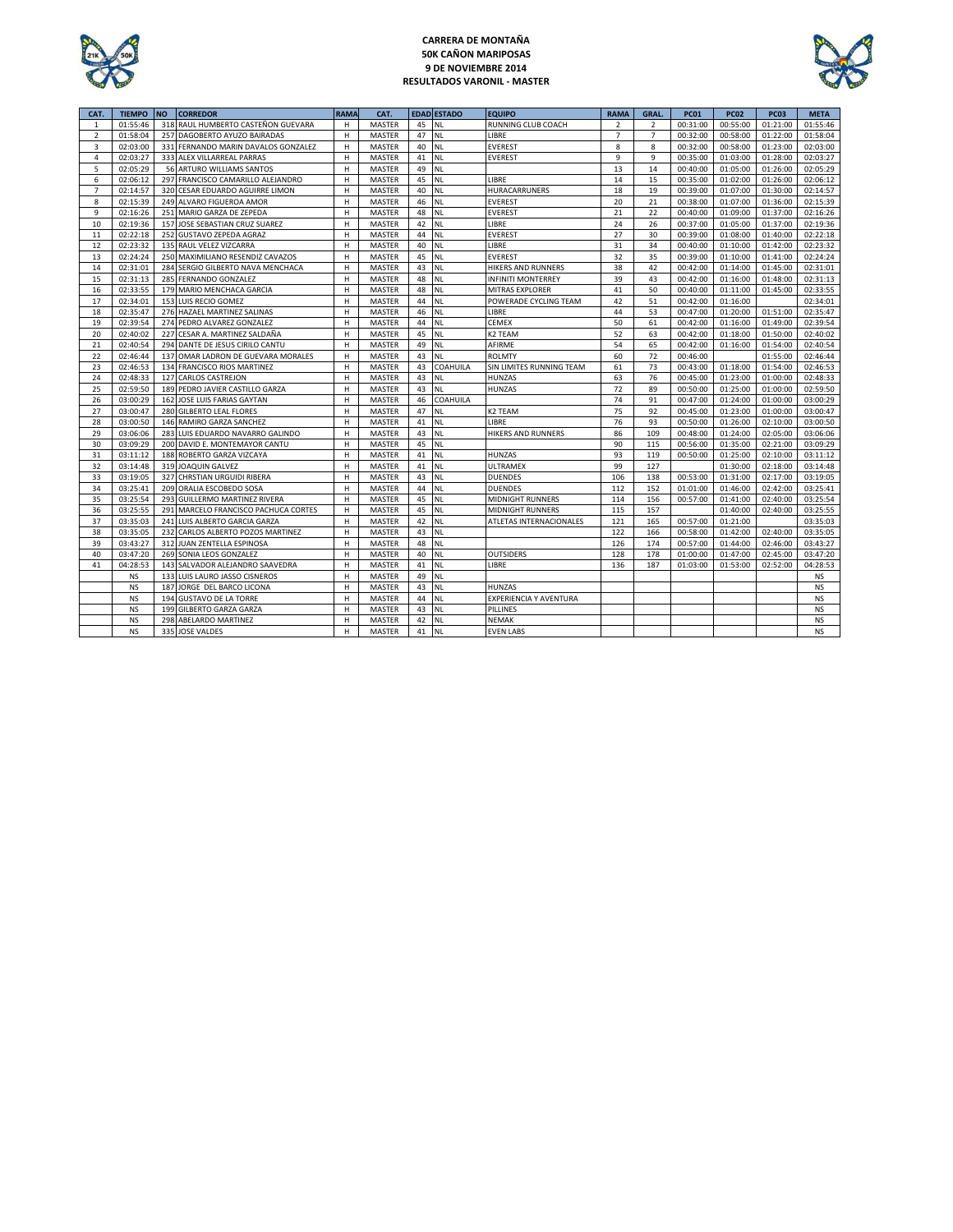

### **CARRERA DE MONTAÑA 50K CAÑON MARIPOSAS 9 DE NOVIEMBRE 2014 RESULTADOS VARONIL - MASTER**



| CAT.           | <b>TIEMPO</b> | <b>NO</b> | <b>CORREDOR</b>                     | <b>RAMA</b> | CAT.          |    | <b>EDAD ESTADO</b> | <b>EQUIPO</b>                 | <b>RAMA</b>    | GRAL.          | <b>PC01</b> | <b>PC02</b> | <b>PC03</b> | <b>META</b> |
|----------------|---------------|-----------|-------------------------------------|-------------|---------------|----|--------------------|-------------------------------|----------------|----------------|-------------|-------------|-------------|-------------|
| $\mathbf{1}$   | 01:55:46      | 318       | RAUL HUMBERTO CASTEÑON GUEVARA      | H           | <b>MASTER</b> | 45 | NL.                | RUNNING CLUB COACH            | $\overline{2}$ | $\overline{2}$ | 00:31:00    | 00:55:00    | 01:21:00    | 01:55:46    |
| $\overline{2}$ | 01:58:04      | 257       | DAGOBERTO AYUZO BAIRADAS            | н           | MASTER        | 47 | <b>NL</b>          | LIBRE                         | $\overline{7}$ | $\overline{7}$ | 00:32:00    | 00:58:00    | 01:22:00    | 01:58:04    |
| 3              | 02:03:00      |           | 331 FERNANDO MARIN DAVALOS GONZALEZ | н           | MASTER        | 40 | <b>NL</b>          | <b>EVEREST</b>                | 8              | 8              | 00:32:00    | 00:58:00    | 01:23:00    | 02:03:00    |
| 4              | 02:03:27      |           | 333 ALEX VILLARREAL PARRAS          | H           | MASTER        | 41 | <b>NL</b>          | <b>EVEREST</b>                | 9              | 9              | 00:35:00    | 01:03:00    | 01:28:00    | 02:03:27    |
| 5              | 02:05:29      |           | 56 ARTURO WILLIAMS SANTOS           | н           | <b>MASTER</b> | 49 | <b>NL</b>          |                               | 13             | 14             | 00:40:00    | 01:05:00    | 01:26:00    | 02:05:29    |
| 6              | 02:06:12      |           | 297 FRANCISCO CAMARILLO ALEJANDRO   | н           | MASTER        | 45 | <b>NL</b>          | LIBRE                         | 14             | 15             | 00:35:00    | 01:02:00    | 01:26:00    | 02:06:12    |
| $\overline{7}$ | 02:14:57      | 320       | CESAR EDUARDO AGUIRRE LIMON         | н           | <b>MASTER</b> | 40 | <b>NL</b>          | HURACARRUNERS                 | 18             | 19             | 00:39:00    | 01:07:00    | 01:30:00    | 02:14:57    |
| 8              | 02:15:39      |           | 249 ALVARO FIGUEROA AMOR            | н           | MASTER        | 46 | <b>NL</b>          | <b>EVEREST</b>                | 20             | 21             | 00:38:00    | 01:07:00    | 01:36:00    | 02:15:39    |
| 9              | 02:16:26      | 251       | MARIO GARZA DE ZEPEDA               | H           | MASTER        | 48 | <b>NL</b>          | <b>EVEREST</b>                | 21             | 22             | 00:40:00    | 01:09:00    | 01:37:00    | 02:16:26    |
| 10             | 02:19:36      | 157       | JOSE SEBASTIAN CRUZ SUAREZ          | H           | <b>MASTER</b> | 42 | <b>NL</b>          | LIBRE                         | 24             | 26             | 00:37:00    | 01:05:00    | 01:37:00    | 02:19:36    |
| 11             | 02:22:18      |           | 252 GUSTAVO ZEPEDA AGRAZ            | H           | <b>MASTER</b> | 44 | <b>NL</b>          | EVEREST                       | 27             | 30             | 00:39:00    | 01:08:00    | 01:40:00    | 02:22:18    |
| 12             | 02:23:32      |           | 135 RAUL VELEZ VIZCARRA             | н           | <b>MASTER</b> | 40 | <b>NL</b>          | LIBRE                         | 31             | 34             | 00:40:00    | 01:10:00    | 01:42:00    | 02:23:32    |
| 13             | 02:24:24      |           | 250 MAXIMILIANO RESENDIZ CAVAZOS    | н           | MASTER        | 45 | <b>NL</b>          | <b>EVEREST</b>                | 32             | 35             | 00:39:00    | 01:10:00    | 01:41:00    | 02:24:24    |
| 14             | 02:31:01      |           | 284 SERGIO GILBERTO NAVA MENCHACA   | н           | MASTER        | 43 | <b>NL</b>          | HIKERS AND RUNNERS            | 38             | 42             | 00:42:00    | 01:14:00    | 01:45:00    | 02:31:01    |
| 15             | 02:31:13      |           | 285 FERNANDO GONZALEZ               | н           | MASTER        | 48 | <b>NL</b>          | <b>INFINITI MONTERREY</b>     | 39             | 43             | 00:42:00    | 01:16:00    | 01:48:00    | 02:31:13    |
| 16             | 02:33:55      |           | 179 MARIO MENCHACA GARCIA           | H           | <b>MASTER</b> | 48 | <b>NL</b>          | MITRAS EXPLORER               | 41             | 50             | 00:40:00    | 01:11:00    | 01:45:00    | 02:33:55    |
| 17             | 02:34:01      |           | 153 LUIS RECIO GOMEZ                | н           | MASTER        | 44 | <b>NL</b>          | POWERADE CYCLING TEAM         | 42             | 51             | 00:42:00    | 01:16:00    |             | 02:34:01    |
| 18             | 02:35:47      |           | 276 HAZAEL MARTINEZ SALINAS         | H           | <b>MASTER</b> | 46 | <b>NL</b>          | LIBRE                         | 44             | 53             | 00:47:00    | 01:20:00    | 01:51:00    | 02:35:47    |
| 19             | 02:39:54      |           | 274 PEDRO ALVAREZ GONZALEZ          | н           | MASTER        | 44 | <b>NL</b>          | CEMEX                         | 50             | 61             | 00:42:00    | 01:16:00    | 01:49:00    | 02:39:54    |
| 20             | 02:40:02      | 227       | CESAR A. MARTINEZ SALDAÑA           | н           | MASTER        | 45 | <b>NL</b>          | K2 TEAM                       | 52             | 63             | 00:42:00    | 01:18:00    | 01:50:00    | 02:40:02    |
| 21             | 02:40:54      |           | 294 DANTE DE JESUS CIRILO CANTU     | н           | MASTER        | 49 | <b>NL</b>          | AFIRME                        | 54             | 65             | 00:42:00    | 01:16:00    | 01:54:00    | 02:40:54    |
| 22             | 02:46:44      |           | 137 OMAR LADRON DE GUEVARA MORALES  | H           | MASTER        | 43 | <b>NL</b>          | <b>ROLMTY</b>                 | 60             | 72             | 00:46:00    |             | 01:55:00    | 02:46:44    |
| 23             | 02:46:53      |           | 134 FRANCISCO RIOS MARTINEZ         | H           | MASTER        | 43 | <b>COAHUILA</b>    | SIN LIMITES RUNNING TEAM      | 61             | 73             | 00:43:00    | 01:18:00    | 01:54:00    | 02:46:53    |
| 24             | 02:48:33      |           | 127 CARLOS CASTREJON                | н           | MASTER        | 43 | <b>NL</b>          | <b>HUNZAS</b>                 | 63             | 76             | 00:45:00    | 01:23:00    | 01:00:00    | 02:48:33    |
| 25             | 02:59:50      |           | 189 PEDRO JAVIER CASTILLO GARZA     | н           | MASTER        | 43 | <b>NL</b>          | <b>HUNZAS</b>                 | 72             | 89             | 00:50:00    | 01:25:00    | 01:00:00    | 02:59:50    |
| 26             | 03:00:29      |           | 162 JOSE LUIS FARIAS GAYTAN         | н           | MASTER        | 46 | COAHUILA           |                               | 74             | 91             | 00:47:00    | 01:24:00    | 01:00:00    | 03:00:29    |
| 27             | 03:00:47      |           | 280 GILBERTO LEAL FLORES            | н           | MASTER        | 47 | <b>NL</b>          | K2 TEAM                       | 75             | 92             | 00:45:00    | 01:23:00    | 01:00:00    | 03:00:47    |
| 28             | 03:00:50      |           | 146 RAMIRO GARZA SANCHEZ            | н           | MASTER        | 41 | <b>NL</b>          | LIBRE                         | 76             | 93             | 00:50:00    | 01:26:00    | 02:10:00    | 03:00:50    |
| 29             | 03:06:06      |           | 283 LUIS EDUARDO NAVARRO GALINDO    | H           | MASTER        | 43 | <b>NL</b>          | HIKERS AND RUNNERS            | 86             | 109            | 00:48:00    | 01:24:00    | 02:05:00    | 03:06:06    |
| 30             | 03:09:29      |           | 200 DAVID E. MONTEMAYOR CANTU       | н           | MASTER        | 45 | <b>NL</b>          |                               | 90             | 115            | 00:56:00    | 01:35:00    | 02:21:00    | 03:09:29    |
| 31             | 03:11:12      |           | 188 ROBERTO GARZA VIZCAYA           | H           | <b>MASTER</b> | 41 | <b>NL</b>          | <b>HUNZAS</b>                 | 93             | 119            | 00:50:00    | 01:25:00    | 02:10:00    | 03:11:12    |
| 32             | 03:14:48      |           | 319 JOAQUIN GALVEZ                  | н           | MASTER        | 41 | <b>NL</b>          | <b>ULTRAMEX</b>               | 99             | 127            |             | 01:30:00    | 02:18:00    | 03:14:48    |
| 33             | 03:19:05      | 327       | CHRSTIAN URGUIDI RIBERA             | н           | MASTER        | 43 | <b>NL</b>          | <b>DUENDES</b>                | 106            | 138            | 00:53:00    | 01:31:00    | 02:17:00    | 03:19:05    |
| 34             | 03:25:41      | 209       | ORALIA ESCOBEDO SOSA                | н           | MASTER        | 44 | <b>NL</b>          | <b>DUENDES</b>                | 112            | 152            | 01:01:00    | 01:46:00    | 02:42:00    | 03:25:41    |
| 35             | 03:25:54      | 293       | <b>GUILLERMO MARTINEZ RIVERA</b>    | H           | <b>MASTER</b> | 45 | <b>NL</b>          | <b>MIDNIGHT RUNNERS</b>       | 114            | 156            | 00:57:00    | 01:41:00    | 02:40:00    | 03:25:54    |
| 36             | 03:25:55      | 291       | MARCELO FRANCISCO PACHUCA CORTES    | н           | <b>MASTER</b> | 45 | <b>NL</b>          | <b>MIDNIGHT RUNNERS</b>       | 115            | 157            |             | 01:40:00    | 02:40:00    | 03:25:55    |
| 37             | 03:35:03      | 241       | LUIS ALBERTO GARCIA GARZA           | H           | MASTER        | 42 | <b>NL</b>          | ATLETAS INTERNACIONALES       | 121            | 165            | 00:57:00    | 01:21:00    |             | 03:35:03    |
| 38             | 03:35:05      | 232       | CARLOS ALBERTO POZOS MARTINEZ       | H           | MASTER        | 43 | <b>NL</b>          |                               | 122            | 166            | 00:58:00    | 01:42:00    | 02:40:00    | 03:35:05    |
| 39             | 03:43:27      |           | 312 JUAN ZENTELLA ESPINOSA          | H           | <b>MASTER</b> | 48 | <b>NL</b>          |                               | 126            | 174            | 00:57:00    | 01:44:00    | 02:46:00    | 03:43:27    |
| 40             | 03:47:20      |           | 269 SONIA LEOS GONZALEZ             | H           | MASTER        | 40 | <b>NL</b>          | <b>OUTSIDERS</b>              | 128            | 178            | 01:00:00    | 01:47:00    | 02:45:00    | 03:47:20    |
| 41             | 04:28:53      |           | 143 SALVADOR ALEJANDRO SAAVEDRA     | н           | MASTER        | 41 | <b>NL</b>          | LIBRE                         | 136            | 187            | 01:03:00    | 01:53:00    | 02:52:00    | 04:28:53    |
|                | NS            |           | 133 LUIS LAURO JASSO CISNEROS       | н           | MASTER        | 49 | <b>NL</b>          |                               |                |                |             |             |             | <b>NS</b>   |
|                | <b>NS</b>     | 187       | JORGE DEL BARCO LICONA              | н           | <b>MASTER</b> | 43 | <b>NL</b>          | <b>HUNZAS</b>                 |                |                |             |             |             | <b>NS</b>   |
|                | <b>NS</b>     | 194       | <b>GUSTAVO DE LA TORRE</b>          | н           | <b>MASTER</b> | 44 | <b>NL</b>          | <b>EXPERIENCIA Y AVENTURA</b> |                |                |             |             |             | <b>NS</b>   |
|                | <b>NS</b>     | 199       | <b>GILBERTO GARZA GARZA</b>         | н           | MASTER        | 43 | <b>NL</b>          | PILLINES                      |                |                |             |             |             | <b>NS</b>   |
|                | <b>NS</b>     | 298       | ABELARDO MARTINEZ                   | н           | MASTER        | 42 | <b>NL</b>          | NEMAK                         |                |                |             |             |             | <b>NS</b>   |
|                | <b>NS</b>     |           | 335 JOSE VALDES                     | н           | <b>MASTER</b> | 41 | <b>NL</b>          | <b>EVEN LABS</b>              |                |                |             |             |             | <b>NS</b>   |